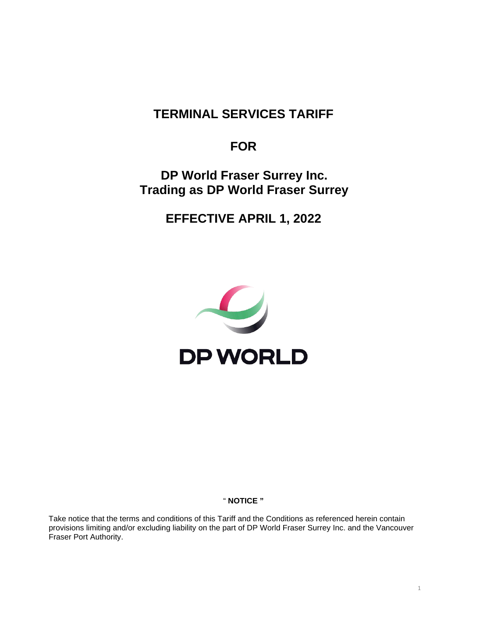# **TERMINAL SERVICES TARIFF**

# **FOR**

# **DP World Fraser Surrey Inc. Trading as DP World Fraser Surrey**

**EFFECTIVE APRIL 1, 2022**



# " **NOTICE "**

Take notice that the terms and conditions of this Tariff and the Conditions as referenced herein contain provisions limiting and/or excluding liability on the part of DP World Fraser Surrey Inc. and the Vancouver Fraser Port Authority.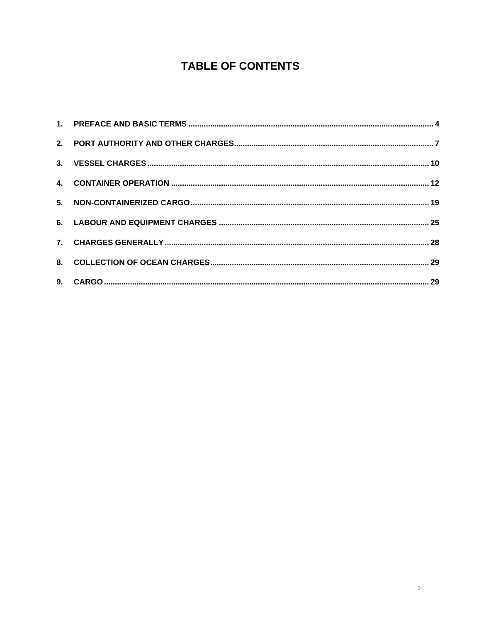# **TABLE OF CONTENTS**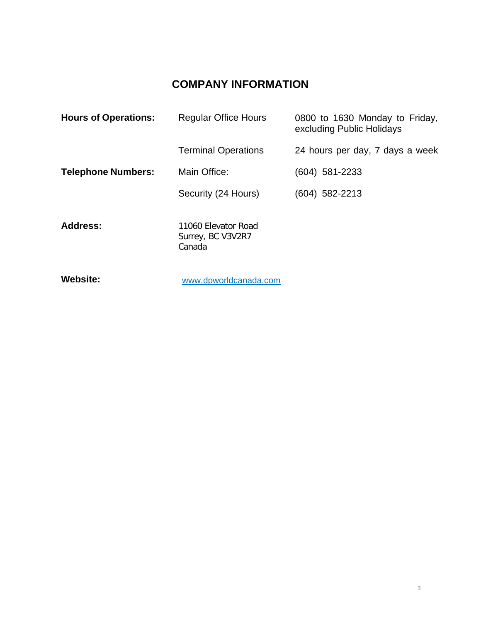# **COMPANY INFORMATION**

| <b>Hours of Operations:</b> | <b>Regular Office Hours</b>                        | 0800 to 1630 Monday to Friday,<br>excluding Public Holidays |
|-----------------------------|----------------------------------------------------|-------------------------------------------------------------|
|                             | <b>Terminal Operations</b>                         | 24 hours per day, 7 days a week                             |
| <b>Telephone Numbers:</b>   | Main Office:                                       | (604) 581-2233                                              |
|                             | Security (24 Hours)                                | (604) 582-2213                                              |
| <b>Address:</b>             | 11060 Elevator Road<br>Surrey, BC V3V2R7<br>Canada |                                                             |

**Website:** 

[www.dpworldcanada.com](http://www.dpworldcanada.com/)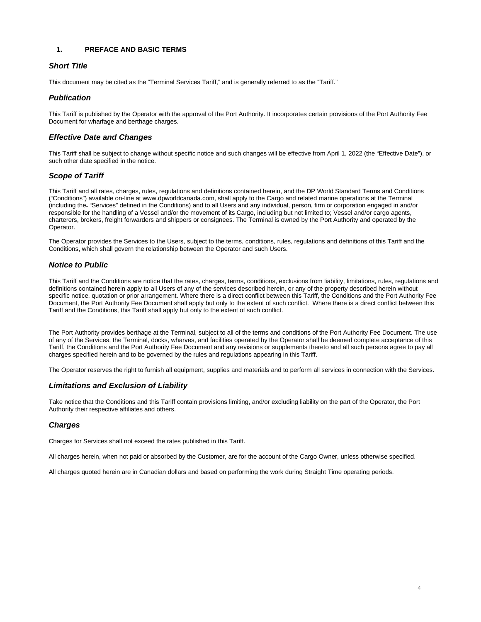# <span id="page-3-0"></span>**1. PREFACE AND BASIC TERMS**

# *Short Title*

This document may be cited as the "Terminal Services Tariff," and is generally referred to as the "Tariff."

# *Publication*

This Tariff is published by the Operator with the approval of the Port Authority. It incorporates certain provisions of the Port Authority Fee Document for wharfage and berthage charges.

# *Effective Date and Changes*

This Tariff shall be subject to change without specific notice and such changes will be effective from April 1, 2022 (the "Effective Date"), or such other date specified in the notice.

# *Scope of Tariff*

This Tariff and all rates, charges, rules, regulations and definitions contained herein, and the DP World Standard Terms and Conditions ("Conditions") available on-line at www.dpworldcanada.com, shall apply to the Cargo and related marine operations at the Terminal (including the "Services" defined in the Conditions) and to all Users and any individual, person, firm or corporation engaged in and/or responsible for the handling of a Vessel and/or the movement of its Cargo, including but not limited to; Vessel and/or cargo agents, charterers, brokers, freight forwarders and shippers or consignees. The Terminal is owned by the Port Authority and operated by the Operator.

The Operator provides the Services to the Users, subject to the terms, conditions, rules, regulations and definitions of this Tariff and the Conditions, which shall govern the relationship between the Operator and such Users.

# *Notice to Public*

This Tariff and the Conditions are notice that the rates, charges, terms, conditions, exclusions from liability, limitations, rules, regulations and definitions contained herein apply to all Users of any of the services described herein, or any of the property described herein without specific notice, quotation or prior arrangement. Where there is a direct conflict between this Tariff, the Conditions and the Port Authority Fee Document, the Port Authority Fee Document shall apply but only to the extent of such conflict. Where there is a direct conflict between this Tariff and the Conditions, this Tariff shall apply but only to the extent of such conflict.

The Port Authority provides berthage at the Terminal, subject to all of the terms and conditions of the Port Authority Fee Document. The use of any of the Services, the Terminal, docks, wharves, and facilities operated by the Operator shall be deemed complete acceptance of this Tariff, the Conditions and the Port Authority Fee Document and any revisions or supplements thereto and all such persons agree to pay all charges specified herein and to be governed by the rules and regulations appearing in this Tariff.

The Operator reserves the right to furnish all equipment, supplies and materials and to perform all services in connection with the Services.

# *Limitations and Exclusion of Liability*

Take notice that the Conditions and this Tariff contain provisions limiting, and/or excluding liability on the part of the Operator, the Port Authority their respective affiliates and others.

# *Charges*

Charges for Services shall not exceed the rates published in this Tariff.

All charges herein, when not paid or absorbed by the Customer, are for the account of the Cargo Owner, unless otherwise specified.

All charges quoted herein are in Canadian dollars and based on performing the work during Straight Time operating periods.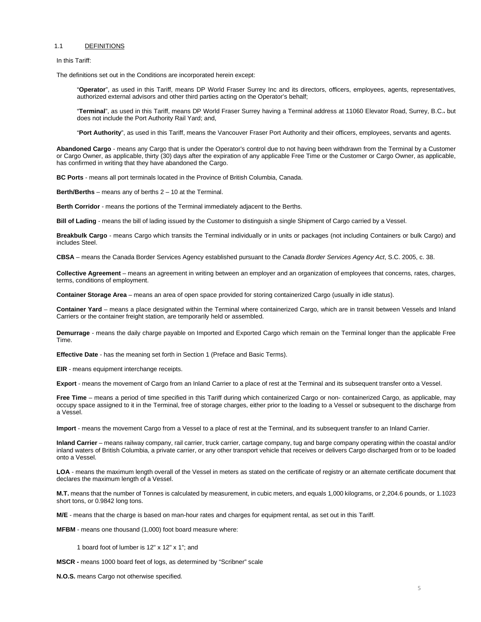#### 1.1 DEFINITIONS

In this Tariff:

The definitions set out in the Conditions are incorporated herein except:

"**Operator**", as used in this Tariff, means DP World Fraser Surrey Inc and its directors, officers, employees, agents, representatives, authorized external advisors and other third parties acting on the Operator's behalf;

"**Terminal**", as used in this Tariff, means DP World Fraser Surrey having a Terminal address at 11060 Elevator Road, Surrey, B.C.. but does not include the Port Authority Rail Yard; and,

"**Port Authority**", as used in this Tariff, means the Vancouver Fraser Port Authority and their officers, employees, servants and agents.

**Abandoned Cargo** - means any Cargo that is under the Operator's control due to not having been withdrawn from the Terminal by a Customer or Cargo Owner, as applicable, thirty (30) days after the expiration of any applicable Free Time or the Customer or Cargo Owner, as applicable, has confirmed in writing that they have abandoned the Cargo.

**BC Ports** - means all port terminals located in the Province of British Columbia, Canada.

**Berth/Berths** – means any of berths 2 – 10 at the Terminal.

**Berth Corridor** - means the portions of the Terminal immediately adjacent to the Berths.

**Bill of Lading** - means the bill of lading issued by the Customer to distinguish a single Shipment of Cargo carried by a Vessel.

**Breakbulk Cargo** - means Cargo which transits the Terminal individually or in units or packages (not including Containers or bulk Cargo) and includes Steel.

**CBSA** – means the Canada Border Services Agency established pursuant to the *Canada Border Services Agency Act*, S.C. 2005, c. 38.

**Collective Agreement** – means an agreement in writing between an employer and an organization of employees that concerns, rates, charges, terms, conditions of employment.

**Container Storage Area** – means an area of open space provided for storing containerized Cargo (usually in idle status).

**Container Yard** – means a place designated within the Terminal where containerized Cargo, which are in transit between Vessels and Inland Carriers or the container freight station, are temporarily held or assembled.

**Demurrage** - means the daily charge payable on Imported and Exported Cargo which remain on the Terminal longer than the applicable Free Time.

**Effective Date** - has the meaning set forth in Section 1 (Preface and Basic Terms).

**EIR** - means equipment interchange receipts.

**Export** - means the movement of Cargo from an Inland Carrier to a place of rest at the Terminal and its subsequent transfer onto a Vessel.

**Free Time** – means a period of time specified in this Tariff during which containerized Cargo or non- containerized Cargo, as applicable, may occupy space assigned to it in the Terminal, free of storage charges, either prior to the loading to a Vessel or subsequent to the discharge from a Vessel.

**Import** - means the movement Cargo from a Vessel to a place of rest at the Terminal, and its subsequent transfer to an Inland Carrier.

**Inland Carrier** – means railway company, rail carrier, truck carrier, cartage company, tug and barge company operating within the coastal and/or inland waters of British Columbia, a private carrier, or any other transport vehicle that receives or delivers Cargo discharged from or to be loaded onto a Vessel.

**LOA** - means the maximum length overall of the Vessel in meters as stated on the certificate of registry or an alternate certificate document that declares the maximum length of a Vessel.

**M.T.** means that the number of Tonnes is calculated by measurement, in cubic meters, and equals 1,000 kilograms, or 2,204.6 pounds, or 1.1023 short tons, or 0.9842 long tons.

**M/E** - means that the charge is based on man-hour rates and charges for equipment rental, as set out in this Tariff.

**MFBM** - means one thousand (1,000) foot board measure where:

1 board foot of lumber is 12" x 12" x 1"; and

**MSCR -** means 1000 board feet of logs, as determined by "Scribner" scale

**N.O.S.** means Cargo not otherwise specified.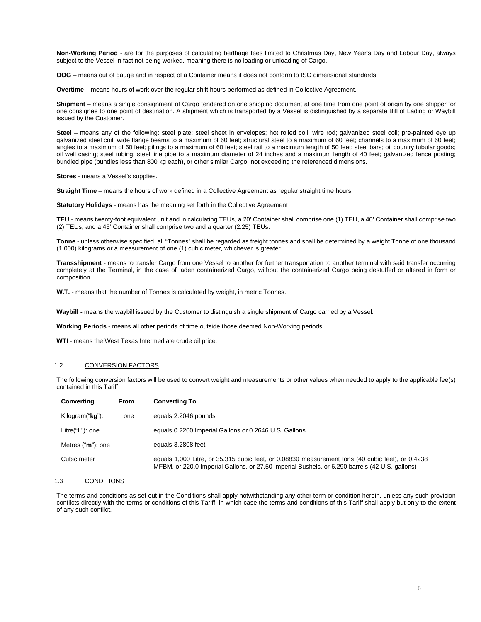**Non-Working Period** - are for the purposes of calculating berthage fees limited to Christmas Day, New Year's Day and Labour Day, always subject to the Vessel in fact not being worked, meaning there is no loading or unloading of Cargo.

**OOG** – means out of gauge and in respect of a Container means it does not conform to ISO dimensional standards.

**Overtime** – means hours of work over the regular shift hours performed as defined in Collective Agreement.

**Shipment** – means a single consignment of Cargo tendered on one shipping document at one time from one point of origin by one shipper for one consignee to one point of destination. A shipment which is transported by a Vessel is distinguished by a separate Bill of Lading or Waybill issued by the Customer.

**Steel** – means any of the following: steel plate; steel sheet in envelopes; hot rolled coil; wire rod; galvanized steel coil; pre-painted eye up galvanized steel coil; wide flange beams to a maximum of 60 feet; structural steel to a maximum of 60 feet; channels to a maximum of 60 feet; angles to a maximum of 60 feet; pilings to a maximum of 60 feet; steel rail to a maximum length of 50 feet; steel bars; oil country tubular goods; oil well casing; steel tubing; steel line pipe to a maximum diameter of 24 inches and a maximum length of 40 feet; galvanized fence posting; bundled pipe (bundles less than 800 kg each), or other similar Cargo, not exceeding the referenced dimensions.

**Stores** - means a Vessel's supplies.

**Straight Time** – means the hours of work defined in a Collective Agreement as regular straight time hours.

**Statutory Holidays** - means has the meaning set forth in the Collective Agreement

**TEU** - means twenty-foot equivalent unit and in calculating TEUs, a 20' Container shall comprise one (1) TEU, a 40' Container shall comprise two (2) TEUs, and a 45' Container shall comprise two and a quarter (2.25) TEUs.

**Tonne** - unless otherwise specified, all "Tonnes" shall be regarded as freight tonnes and shall be determined by a weight Tonne of one thousand (1,000) kilograms or a measurement of one (1) cubic meter, whichever is greater.

**Transshipment** - means to transfer Cargo from one Vessel to another for further transportation to another terminal with said transfer occurring completely at the Terminal, in the case of laden containerized Cargo, without the containerized Cargo being destuffed or altered in form or composition.

**W.T.** - means that the number of Tonnes is calculated by weight, in metric Tonnes.

**Waybill -** means the waybill issued by the Customer to distinguish a single shipment of Cargo carried by a Vessel.

**Working Periods** - means all other periods of time outside those deemed Non-Working periods.

**WTI** - means the West Texas Intermediate crude oil price.

#### 1.2 CONVERSION FACTORS

The following conversion factors will be used to convert weight and measurements or other values when needed to apply to the applicable fee(s) contained in this Tariff.

| <b>Converting</b>        | <b>From</b> | <b>Converting To</b>                                                                                                                                                                               |
|--------------------------|-------------|----------------------------------------------------------------------------------------------------------------------------------------------------------------------------------------------------|
| Kilogram(" <b>kg</b> "): | one         | equals 2.2046 pounds                                                                                                                                                                               |
| Litre("L"): one          |             | equals 0.2200 Imperial Gallons or 0.2646 U.S. Gallons                                                                                                                                              |
| Metres ("m"): one        |             | equals 3.2808 feet                                                                                                                                                                                 |
| Cubic meter              |             | equals 1,000 Litre, or 35.315 cubic feet, or 0.08830 measurement tons (40 cubic feet), or 0.4238<br>MFBM, or 220.0 Imperial Gallons, or 27.50 Imperial Bushels, or 6.290 barrels (42 U.S. gallons) |

#### 1.3 CONDITIONS

The terms and conditions as set out in the Conditions shall apply notwithstanding any other term or condition herein, unless any such provision conflicts directly with the terms or conditions of this Tariff, in which case the terms and conditions of this Tariff shall apply but only to the extent of any such conflict.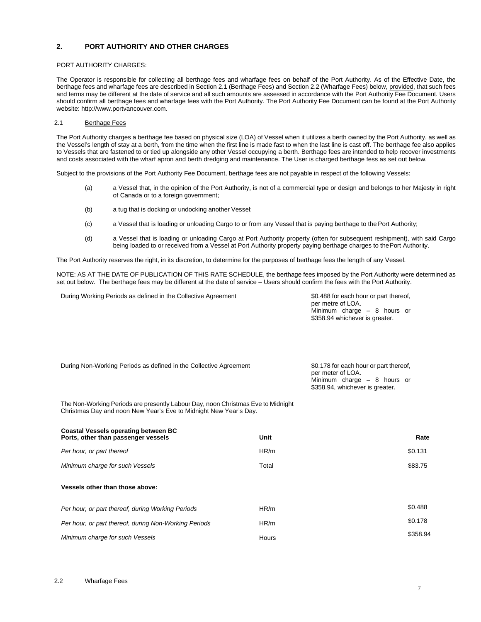# <span id="page-6-0"></span>**2. PORT AUTHORITY AND OTHER CHARGES**

## PORT AUTHORITY CHARGES:

The Operator is responsible for collecting all berthage fees and wharfage fees on behalf of the Port Authority. As of the Effective Date, the berthage fees and wharfage fees are described in Section 2.1 (Berthage Fees) and Section 2.2 (Wharfage Fees) below, provided, that such fees and terms may be different at the date of service and all such amounts are assessed in accordance with the Port Authority Fee Document. Users should confirm all berthage fees and wharfage fees with the Port Authority. The Port Authority Fee Document can be found at the Port Authority website[: http://www.portvancouver.com.](http://www.portvancouver.com/)

## 2.1 Berthage Fees

The Port Authority charges a berthage fee based on physical size (LOA) of Vessel when it utilizes a berth owned by the Port Authority, as well as the Vessel's length of stay at a berth, from the time when the first line is made fast to when the last line is cast off. The berthage fee also applies to Vessels that are fastened to or tied up alongside any other Vessel occupying a berth. Berthage fees are intended to help recover investments and costs associated with the wharf apron and berth dredging and maintenance. The User is charged berthage fess as set out below.

Subject to the provisions of the Port Authority Fee Document, berthage fees are not payable in respect of the following Vessels:

- (a) a Vessel that, in the opinion of the Port Authority, is not of a commercial type or design and belongs to her Majesty in right of Canada or to a foreign government;
- (b) a tug that is docking or undocking another Vessel;
- (c) a Vessel that is loading or unloading Cargo to or from any Vessel that is paying berthage to thePort Authority;
- (d) a Vessel that is loading or unloading Cargo at Port Authority property (often for subsequent reshipment), with said Cargo being loaded to or received from a Vessel at Port Authority property paying berthage charges to thePort Authority.

The Port Authority reserves the right, in its discretion, to determine for the purposes of berthage fees the length of any Vessel.

NOTE: AS AT THE DATE OF PUBLICATION OF THIS RATE SCHEDULE, the berthage fees imposed by the Port Authority were determined as set out below. The berthage fees may be different at the date of service – Users should confirm the fees with the Port Authority.

During Working Periods as defined in the Collective Agreement \$0.488 for each hour or part thereof,

per metre of LOA. Minimum charge – 8 hours or \$358.94 whichever is greater.

| During Non-Working Periods as defined in the Collective Agreement | \$0.178 for each hour or part thereof,<br>per meter of LOA. |
|-------------------------------------------------------------------|-------------------------------------------------------------|
|                                                                   | Minimum charge $-$ 8 hours or                               |
|                                                                   | \$358.94, whichever is greater.                             |

The Non-Working Periods are presently Labour Day, noon Christmas Eve to Midnight Christmas Day and noon New Year's Eve to Midnight New Year's Day.

| Coastal Vessels operating between BC<br>Ports, other than passenger vessels | Unit  | Rate     |
|-----------------------------------------------------------------------------|-------|----------|
| Per hour, or part thereof                                                   | HR/m  | \$0.131  |
| Minimum charge for such Vessels                                             | Total | \$83.75  |
| Vessels other than those above:                                             |       |          |
| Per hour, or part thereof, during Working Periods                           | HR/m  | \$0.488  |
| Per hour, or part thereof, during Non-Working Periods                       | HR/m  | \$0.178  |
| Minimum charge for such Vessels                                             | Hours | \$358.94 |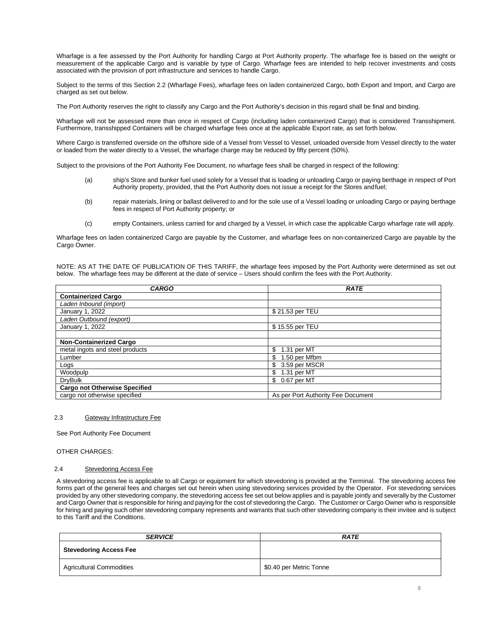Wharfage is a fee assessed by the Port Authority for handling Cargo at Port Authority property. The wharfage fee is based on the weight or measurement of the applicable Cargo and is variable by type of Cargo. Wharfage fees are intended to help recover investments and costs associated with the provision of port infrastructure and services to handle Cargo.

Subject to the terms of this Section 2.2 (Wharfage Fees), wharfage fees on laden containerized Cargo, both Export and Import, and Cargo are charged as set out below.

The Port Authority reserves the right to classify any Cargo and the Port Authority's decision in this regard shall be final and binding.

Wharfage will not be assessed more than once in respect of Cargo (including laden containerized Cargo) that is considered Transshipment. Furthermore, transshipped Containers will be charged wharfage fees once at the applicable Export rate, as set forth below.

Where Cargo is transferred overside on the offshore side of a Vessel from Vessel to Vessel, unloaded overside from Vessel directly to the water or loaded from the water directly to a Vessel, the wharfage charge may be reduced by fifty percent (50%).

Subject to the provisions of the Port Authority Fee Document, no wharfage fees shall be charged in respect of the following:

- (a) ship's Store and bunker fuel used solely for a Vessel that is loading or unloading Cargo or paying berthage in respect of Port Authority property, provided, that the Port Authority does not issue a receipt for the Stores andfuel;
- (b) repair materials, lining or ballast delivered to and for the sole use of a Vessel loading or unloading Cargo or paying berthage fees in respect of Port Authority property; or
- (c) empty Containers, unless carried for and charged by a Vessel, in which case the applicable Cargo wharfage rate will apply.

Wharfage fees on laden containerized Cargo are payable by the Customer, and wharfage fees on non-containerized Cargo are payable by the Cargo Owner.

NOTE: AS AT THE DATE OF PUBLICATION OF THIS TARIFF, the wharfage fees imposed by the Port Authority were determined as set out below. The wharfage fees may be different at the date of service – Users should confirm the fees with the Port Authority.

| <b>CARGO</b>                         | <b>RATE</b>                        |
|--------------------------------------|------------------------------------|
| <b>Containerized Cargo</b>           |                                    |
| Laden Inbound (import)               |                                    |
| January 1, 2022                      | \$21.53 per TEU                    |
| Laden Outbound (export)              |                                    |
| January 1, 2022                      | \$15.55 per TEU                    |
|                                      |                                    |
| <b>Non-Containerized Cargo</b>       |                                    |
| metal ingots and steel products      | \$<br>1.31 per MT                  |
| Lumber                               | \$<br>1.50 per Mfbm                |
| Logs                                 | 3.59 per MSCR<br>\$                |
| Woodpulp                             | \$<br>1.31 per MT                  |
| <b>DryBulk</b>                       | \$<br>0.67 per MT                  |
| <b>Cargo not Otherwise Specified</b> |                                    |
| cargo not otherwise specified        | As per Port Authority Fee Document |

# 2.3 Gateway Infrastructure Fee

See Port Authority Fee Document

## OTHER CHARGES:

#### 2.4 Stevedoring Access Fee

A stevedoring access fee is applicable to all Cargo or equipment for which stevedoring is provided at the Terminal. The stevedoring access fee forms part of the general fees and charges set out herein when using stevedoring services provided by the Operator. For stevedoring services provided by any other stevedoring company, the stevedoring access fee set out below applies and is payable jointly and severally by the Customer and Cargo Owner that is responsible for hiring and paying for the cost of stevedoring the Cargo. The Customer or Cargo Owner who is responsible for hiring and paying such other stevedoring company represents and warrants that such other stevedoring company is their invitee and is subject to this Tariff and the Conditions.

| <b>SERVICE</b>                  | <b>RATE</b>             |
|---------------------------------|-------------------------|
| <b>Stevedoring Access Fee</b>   |                         |
| <b>Agricultural Commodities</b> | \$0.40 per Metric Tonne |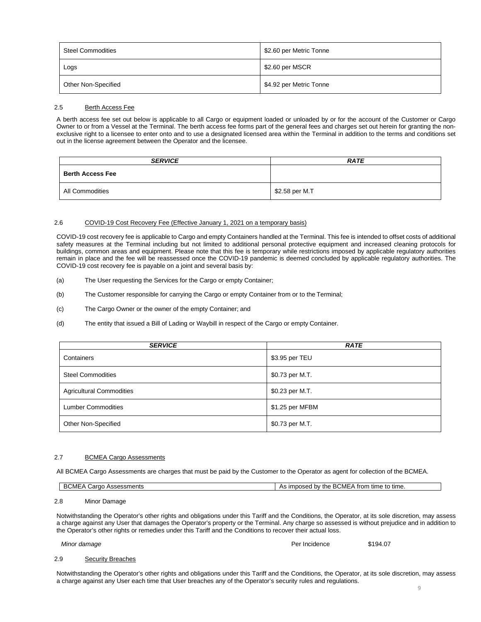| Steel Commodities   | \$2.60 per Metric Tonne |
|---------------------|-------------------------|
| Logs                | \$2.60 per MSCR         |
| Other Non-Specified | \$4.92 per Metric Tonne |

#### 2.5 Berth Access Fee

A berth access fee set out below is applicable to all Cargo or equipment loaded or unloaded by or for the account of the Customer or Cargo Owner to or from a Vessel at the Terminal. The berth access fee forms part of the general fees and charges set out herein for granting the nonexclusive right to a licensee to enter onto and to use a designated licensed area within the Terminal in addition to the terms and conditions set out in the license agreement between the Operator and the licensee.

| <b>SERVICE</b>          | <b>RATE</b>    |
|-------------------------|----------------|
| <b>Berth Access Fee</b> |                |
| All Commodities         | \$2.58 per M.T |

# 2.6 COVID-19 Cost Recovery Fee (Effective January 1, 2021 on a temporary basis)

COVID-19 cost recovery fee is applicable to Cargo and empty Containers handled at the Terminal. This fee is intended to offset costs of additional safety measures at the Terminal including but not limited to additional personal protective equipment and increased cleaning protocols for buildings, common areas and equipment. Please note that this fee is temporary while restrictions imposed by applicable regulatory authorities remain in place and the fee will be reassessed once the COVID-19 pandemic is deemed concluded by applicable regulatory authorities. The COVID-19 cost recovery fee is payable on a joint and several basis by:

- (a) The User requesting the Services for the Cargo or empty Container;
- (b) The Customer responsible for carrying the Cargo or empty Container from or to the Terminal;
- (c) The Cargo Owner or the owner of the empty Container; and
- (d) The entity that issued a Bill of Lading or Waybill in respect of the Cargo or empty Container.

| <b>SERVICE</b>                  | <b>RATE</b>     |
|---------------------------------|-----------------|
| Containers                      | \$3.95 per TEU  |
| <b>Steel Commodities</b>        | \$0.73 per M.T. |
| <b>Agricultural Commodities</b> | \$0.23 per M.T. |
| <b>Lumber Commodities</b>       | \$1.25 per MFBM |
| Other Non-Specified             | \$0.73 per M.T. |

#### 2.7 BCMEA Cargo Assessments

All BCMEA Cargo Assessments are charges that must be paid by the Customer to the Operator as agent for collection of the BCMEA.

| <b>DOME</b><br>Assessments<br><b>BCMF</b><br>Cargo | <b>BCME</b><br>by the<br>∘ time to time.<br>rrom ،<br>imposed<br>ື |
|----------------------------------------------------|--------------------------------------------------------------------|
|----------------------------------------------------|--------------------------------------------------------------------|

## 2.8 Minor Damage

Notwithstanding the Operator's other rights and obligations under this Tariff and the Conditions, the Operator, at its sole discretion, may assess a charge against any User that damages the Operator's property or the Terminal. Any charge so assessed is without prejudice and in addition to the Operator's other rights or remedies under this Tariff and the Conditions to recover their actual loss.

#### *Minor damage* Per Incidence \$194.07

## 2.9 Security Breaches

Notwithstanding the Operator's other rights and obligations under this Tariff and the Conditions, the Operator, at its sole discretion, may assess a charge against any User each time that User breaches any of the Operator's security rules and regulations.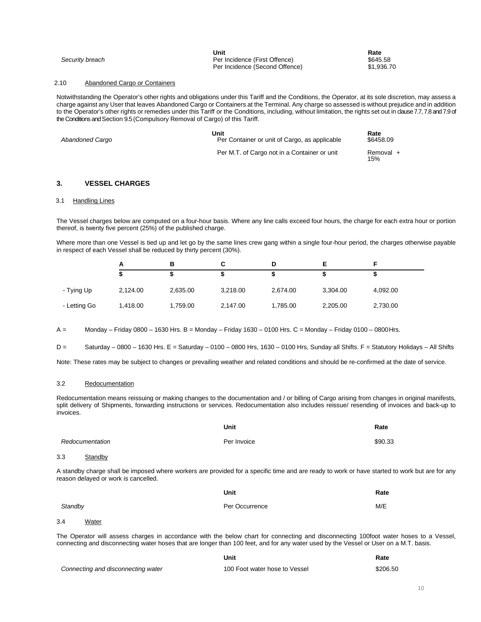|                 | Unit                           | Rate       |
|-----------------|--------------------------------|------------|
| Security breach | Per Incidence (First Offence)  | \$645.58   |
|                 | Per Incidence (Second Offence) | \$1,936.70 |

# 2.10 Abandoned Cargo or Containers

Notwithstanding the Operator's other rights and obligations under this Tariff and the Conditions, the Operator, at its sole discretion, may assess a charge against any User that leaves Abandoned Cargo or Containers at the Terminal. Any charge so assessed is without prejudice and in addition to the Operator's other rights or remedies under this Tariff or the Conditions, including, without limitation, the rights set out in clause 7.7, 7.8 and 7.9 of the Conditions and Section 9.5 (Compulsory Removal of Cargo) of this Tariff.

| Abandoned Cargo | Unit<br>Per Container or unit of Cargo, as applicable | Rate<br>\$6458.09 |
|-----------------|-------------------------------------------------------|-------------------|
|                 | Per M.T. of Cargo not in a Container or unit          | Removal +<br>15%  |

# <span id="page-9-0"></span>**3. VESSEL CHARGES**

#### 3.1 Handling Lines

The Vessel charges below are computed on a four-hour basis. Where any line calls exceed four hours, the charge for each extra hour or portion thereof, is twenty five percent (25%) of the published charge.

Where more than one Vessel is tied up and let go by the same lines crew gang within a single four-hour period, the charges otherwise payable in respect of each Vessel shall be reduced by thirty percent (30%).

|              |          | в        |          |          |          |          |
|--------------|----------|----------|----------|----------|----------|----------|
|              |          |          |          |          |          |          |
| - Tying Up   | 2,124.00 | 2,635.00 | 3,218.00 | 2,674.00 | 3,304.00 | 4,092.00 |
| - Letting Go | 1,418.00 | 1,759.00 | 2,147.00 | 1,785.00 | 2,205.00 | 2,730.00 |

A = Monday – Friday 0800 – 1630 Hrs. B = Monday – Friday 1630 – 0100 Hrs. C = Monday – Friday 0100 – 0800Hrs.

 $D =$ Saturday – 0800 – 1630 Hrs. E = Saturday – 0100 – 0800 Hrs, 1630 – 0100 Hrs, Sunday all Shifts. F = Statutory Holidays – All Shifts

Note: These rates may be subject to changes or prevailing weather and related conditions and should be re-confirmed at the date of service.

#### 3.2 Redocumentation

Redocumentation means reissuing or making changes to the documentation and / or billing of Cargo arising from changes in original manifests, split delivery of Shipments, forwarding instructions or services. Redocumentation also includes reissue/ resending of invoices and back-up to invoices.

|                                                                                                                                                                                        | Unit           | Rate    |
|----------------------------------------------------------------------------------------------------------------------------------------------------------------------------------------|----------------|---------|
| Redocumentation                                                                                                                                                                        | Per Invoice    | \$90.33 |
| 3.3<br>Standby                                                                                                                                                                         |                |         |
| A standby charge shall be imposed where workers are provided for a specific time and are ready to work or have started to work but are for any<br>reason delayed or work is cancelled. |                |         |
|                                                                                                                                                                                        | Unit           | Rate    |
| Standby                                                                                                                                                                                | Per Occurrence | M/E     |
| 3.4<br>Water                                                                                                                                                                           |                |         |
| The Operator will access charges in accordance with the below chart for connecting and disconnecting 100foot water boses to a Vessel                                                   |                |         |

The Operator will assess charges in accordance with the below chart for connecting and disconnecting 100foot water hoses to a Vessel, connecting and disconnecting water hoses that are longer than 100 feet, and for any water used by the Vessel or User on a M.T. basis.

|                                    | Unit                          | Rate     |
|------------------------------------|-------------------------------|----------|
| Connecting and disconnecting water | 100 Foot water hose to Vessel | \$206.50 |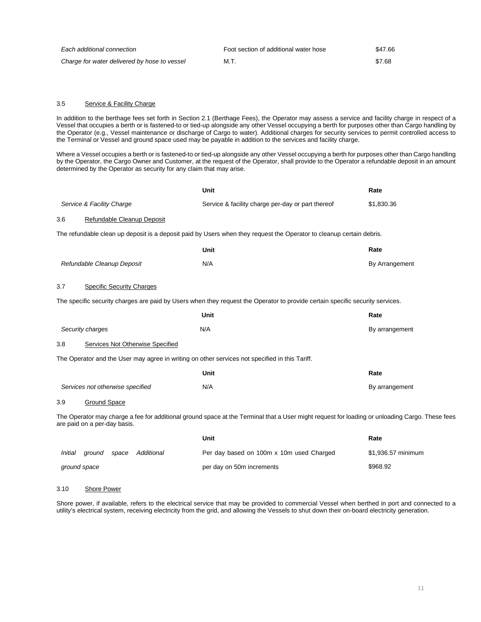| Each additional connection                   | Foot section of additional water hose | \$47.66 |
|----------------------------------------------|---------------------------------------|---------|
| Charge for water delivered by hose to vessel | M.T.                                  | \$7.68  |

# 3.5 Service & Facility Charge

In addition to the berthage fees set forth in Section 2.1 (Berthage Fees), the Operator may assess a service and facility charge in respect of a Vessel that occupies a berth or is fastened-to or tied-up alongside any other Vessel occupying a berth for purposes other than Cargo handling by the Operator (e.g., Vessel maintenance or discharge of Cargo to water). Additional charges for security services to permit controlled access to the Terminal or Vessel and ground space used may be payable in addition to the services and facility charge.

Where a Vessel occupies a berth or is fastened-to or tied-up alongside any other Vessel occupying a berth for purposes other than Cargo handling by the Operator, the Cargo Owner and Customer, at the request of the Operator, shall provide to the Operator a refundable deposit in an amount determined by the Operator as security for any claim that may arise.

|         |                                  | Unit                                                                                                                                           | Rate               |
|---------|----------------------------------|------------------------------------------------------------------------------------------------------------------------------------------------|--------------------|
|         | Service & Facility Charge        | Service & facility charge per-day or part thereof                                                                                              | \$1,830.36         |
| 3.6     | Refundable Cleanup Deposit       |                                                                                                                                                |                    |
|         |                                  | The refundable clean up deposit is a deposit paid by Users when they request the Operator to cleanup certain debris.                           |                    |
|         |                                  | Unit                                                                                                                                           | Rate               |
|         | Refundable Cleanup Deposit       | N/A                                                                                                                                            | By Arrangement     |
| 3.7     | <b>Specific Security Charges</b> |                                                                                                                                                |                    |
|         |                                  | The specific security charges are paid by Users when they request the Operator to provide certain specific security services.                  |                    |
|         |                                  | Unit                                                                                                                                           | Rate               |
|         | Security charges                 | N/A                                                                                                                                            | By arrangement     |
| 3.8     | Services Not Otherwise Specified |                                                                                                                                                |                    |
|         |                                  | The Operator and the User may agree in writing on other services not specified in this Tariff.                                                 |                    |
|         |                                  | Unit                                                                                                                                           | Rate               |
|         | Services not otherwise specified | N/A                                                                                                                                            | By arrangement     |
| 3.9     | Ground Space                     |                                                                                                                                                |                    |
|         | are paid on a per-day basis.     | The Operator may charge a fee for additional ground space at the Terminal that a User might request for loading or unloading Cargo. These fees |                    |
|         |                                  | Unit                                                                                                                                           | Rate               |
| Initial | Additional<br>ground<br>space    | Per day based on 100m x 10m used Charged                                                                                                       | \$1,936.57 minimum |
|         | around space                     | per day on 50m increments                                                                                                                      | \$968.92           |

#### 3.10 Shore Power

Shore power, if available, refers to the electrical service that may be provided to commercial Vessel when berthed in port and connected to a utility's electrical system, receiving electricity from the grid, and allowing the Vessels to shut down their on-board electricity generation.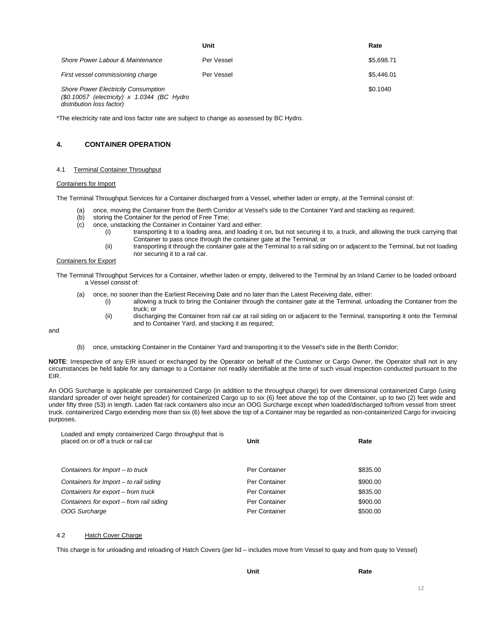|                                                                                                                         | Unit       | Rate       |
|-------------------------------------------------------------------------------------------------------------------------|------------|------------|
| Shore Power Labour & Maintenance                                                                                        | Per Vessel | \$5,698.71 |
| First vessel commissioning charge                                                                                       | Per Vessel | \$5.446.01 |
| <b>Shore Power Electricity Consumption</b><br>$(S0.10057$ (electricity) x 1.0344 (BC Hydro<br>distribution loss factor) |            | \$0.1040   |

\*The electricity rate and loss factor rate are subject to change as assessed by BC Hydro.

# <span id="page-11-0"></span>**4. CONTAINER OPERATION**

#### 4.1 Terminal Container Throughput

#### Containers for Import

The Terminal Throughput Services for a Container discharged from a Vessel, whether laden or empty, at the Terminal consist of:

- (a) once, moving the Container from the Berth Corridor at Vessel's side to the Container Yard and stacking as required;
- (b) storing the Container for the period of Free Time;<br>(c) once, unstacking the Container in Container Yard
- once, unstacking the Container in Container Yard and either:
	- (i) transporting it to a loading area, and loading it on, but not securing it to, a truck, and allowing the truck carrying that Container to pass once through the container gate at the Terminal; or
	- (ii) transporting it through the container gate at the Terminal to a rail siding on or adjacent to the Terminal, but not loading nor securing it to a rail car.

#### Containers for Export

The Terminal Throughput Services for a Container, whether laden or empty, delivered to the Terminal by an Inland Carrier to be loaded onboard a Vessel consist of:

- (a) once, no sooner than the Earliest Receiving Date and no later than the Latest Receiving date, either:
	- (i) allowing a truck to bring the Container through the container gate at the Terminal, unloading the Container from the truck; or
	- (ii) discharging the Container from rail car at rail siding on or adjacent to the Terminal, transporting it onto the Terminal and to Container Yard, and stacking it as required;

and

(b) once, unstacking Container in the Container Yard and transporting it to the Vessel's side in the Berth Corridor;

**NOTE**: Irrespective of any EIR issued or exchanged by the Operator on behalf of the Customer or Cargo Owner, the Operator shall not in any circumstances be held liable for any damage to a Container not readily identifiable at the time of such visual inspection conducted pursuant to the EIR.

An OOG Surcharge is applicable per containerized Cargo (in addition to the throughput charge) for over dimensional containerized Cargo (using standard spreader of over height spreader) for containerized Cargo up to six (6) feet above the top of the Container, up to two (2) feet wide and under fifty three (53) in length. Laden flat rack containers also incur an OOG Surcharge except when loaded/discharged to/from vessel from street truck. containerized Cargo extending more than six (6) feet above the top of a Container may be regarded as non-containerized Cargo for invoicing purposes.

| Loaded and empty containerized Cargo throughput that is<br>placed on or off a truck or rail car | Unit          | Rate     |
|-------------------------------------------------------------------------------------------------|---------------|----------|
| Containers for Import – to truck                                                                | Per Container | \$835.00 |
| Containers for Import $-$ to rail siding                                                        | Per Container | \$900.00 |
| Containers for export – from truck                                                              | Per Container | \$835.00 |
| Containers for export – from rail siding                                                        | Per Container | \$900.00 |
| OOG Surcharge                                                                                   | Per Container | \$500.00 |
|                                                                                                 |               |          |

# 4.2 Hatch Cover Charge

This charge is for unloading and reloading of Hatch Covers (per lid – includes move from Vessel to quay and from quay to Vessel)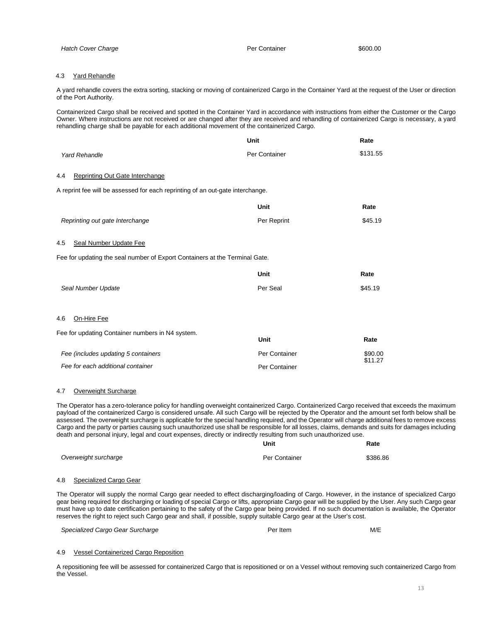# 4.3 Yard Rehandle

A yard rehandle covers the extra sorting, stacking or moving of containerized Cargo in the Container Yard at the request of the User or direction of the Port Authority.

Containerized Cargo shall be received and spotted in the Container Yard in accordance with instructions from either the Customer or the Cargo Owner. Where instructions are not received or are changed after they are received and rehandling of containerized Cargo is necessary, a yard rehandling charge shall be payable for each additional movement of the containerized Cargo.

|                                                                                | Unit          | Rate     |
|--------------------------------------------------------------------------------|---------------|----------|
| <b>Yard Rehandle</b>                                                           | Per Container | \$131.55 |
| Reprinting Out Gate Interchange<br>4.4                                         |               |          |
| A reprint fee will be assessed for each reprinting of an out-gate interchange. |               |          |
|                                                                                | Unit          | Rate     |
| Reprinting out gate Interchange                                                | Per Reprint   | \$45.19  |
| Seal Number Update Fee<br>4.5                                                  |               |          |
| Fee for updating the seal number of Export Containers at the Terminal Gate.    |               |          |
|                                                                                | Unit          | Rate     |
| Seal Number Update                                                             | Per Seal      | \$45.19  |
|                                                                                |               |          |
| 4.6<br>On-Hire Fee                                                             |               |          |
| Fee for updating Container numbers in N4 system.                               | <b>Unit</b>   | Rate     |
| Fee (includes updating 5 containers                                            | Per Container | \$90.00  |
| Fee for each additional container                                              | Per Container | \$11.27  |

#### 4.7 Overweight Surcharge

The Operator has a zero-tolerance policy for handling overweight containerized Cargo. Containerized Cargo received that exceeds the maximum payload of the containerized Cargo is considered unsafe. All such Cargo will be rejected by the Operator and the amount set forth below shall be assessed. The overweight surcharge is applicable for the special handling required, and the Operator will charge additional fees to remove excess Cargo and the party or parties causing such unauthorized use shall be responsible for all losses, claims, demands and suits for damages including death and personal injury, legal and court expenses, directly or indirectly resulting from such unauthorized use.

|                      | Unit          | Rate     |
|----------------------|---------------|----------|
| Overweight surcharge | Per Container | \$386.86 |

#### 4.8 Specialized Cargo Gear

The Operator will supply the normal Cargo gear needed to effect discharging/loading of Cargo. However, in the instance of specialized Cargo gear being required for discharging or loading of special Cargo or lifts, appropriate Cargo gear will be supplied by the User. Any such Cargo gear must have up to date certification pertaining to the safety of the Cargo gear being provided. If no such documentation is available, the Operator reserves the right to reject such Cargo gear and shall, if possible, supply suitable Cargo gear at the User's cost.

| Specialized Cargo Gear Surcharge | Per Item | M/E |
|----------------------------------|----------|-----|
|----------------------------------|----------|-----|

# 4.9 Vessel Containerized Cargo Reposition

A repositioning fee will be assessed for containerized Cargo that is repositioned or on a Vessel without removing such containerized Cargo from the Vessel.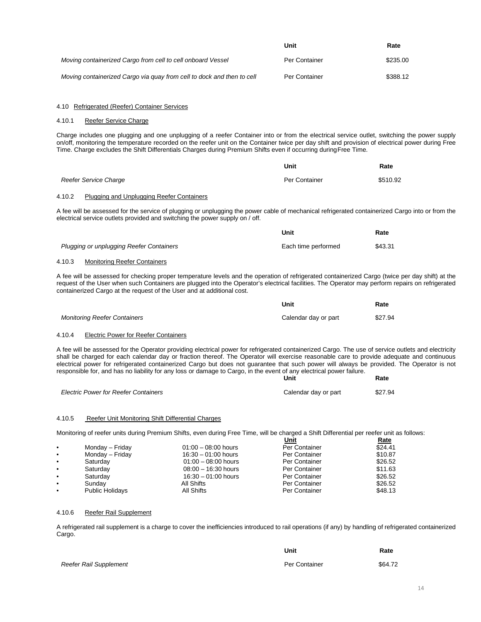|                                                                        | Unit                 | Rate     |
|------------------------------------------------------------------------|----------------------|----------|
| Moving containerized Cargo from cell to cell onboard Vessel            | <b>Per Container</b> | \$235.00 |
| Moving containerized Cargo via guay from cell to dock and then to cell | Per Container        | \$388.12 |

#### 4.10 Refrigerated (Reefer) Container Services

# 4.10.1 Reefer Service Charge

Charge includes one plugging and one unplugging of a reefer Container into or from the electrical service outlet, switching the power supply on/off, monitoring the temperature recorded on the reefer unit on the Container twice per day shift and provision of electrical power during Free Time. Charge excludes the Shift Differentials Charges during Premium Shifts even if occurring duringFree Time.

|                       | Unit          | Rate     |
|-----------------------|---------------|----------|
| Reefer Service Charge | Per Container | \$510.92 |

#### 4.10.2 Plugging and Unplugging Reefer Containers

A fee will be assessed for the service of plugging or unplugging the power cable of mechanical refrigerated containerized Cargo into or from the electrical service outlets provided and switching the power supply on / off.

|                                                                | Unit                | Rate    |
|----------------------------------------------------------------|---------------------|---------|
| <b>Plugging or unplugging Reefer Containers</b>                | Each time performed | \$43.31 |
| Manitaginal Deafan Cantainean<br>$\lambda$ $\lambda$ $\lambda$ |                     |         |

#### 4.10.3 Monitoring Reefer Containers

A fee will be assessed for checking proper temperature levels and the operation of refrigerated containerized Cargo (twice per day shift) at the request of the User when such Containers are plugged into the Operator's electrical facilities. The Operator may perform repairs on refrigerated containerized Cargo at the request of the User and at additional cost.

|                                     | Unit                 | Rate    |
|-------------------------------------|----------------------|---------|
| <b>Monitoring Reefer Containers</b> | Calendar day or part | \$27.94 |

#### 4.10.4 Electric Power for Reefer Containers

A fee will be assessed for the Operator providing electrical power for refrigerated containerized Cargo. The use of service outlets and electricity shall be charged for each calendar day or fraction thereof. The Operator will exercise reasonable care to provide adequate and continuous electrical power for refrigerated containerized Cargo but does not guarantee that such power will always be provided. The Operator is not responsible for, and has no liability for any loss or damage to Cargo, in the event of any electrical power failure. **Rate**

|                                             | Unit                 | Rate    |
|---------------------------------------------|----------------------|---------|
| <b>Electric Power for Reefer Containers</b> | Calendar day or part | \$27.94 |

#### 4.10.5 Reefer Unit Monitoring Shift Differential Charges

Monitoring of reefer units during Premium Shifts, even during Free Time, will be charged a Shift Differential per reefer unit as follows:

|           |                        |                       | Unit          | <u>Rate</u> |
|-----------|------------------------|-----------------------|---------------|-------------|
| $\bullet$ | Monday – Friday        | $01:00 - 08:00$ hours | Per Container | \$24.41     |
| $\bullet$ | Monday - Friday        | $16:30 - 01:00$ hours | Per Container | \$10.87     |
| $\bullet$ | Saturday               | $01:00 - 08:00$ hours | Per Container | \$26.52     |
| $\bullet$ | Saturday               | $08:00 - 16:30$ hours | Per Container | \$11.63     |
| $\bullet$ | Saturday               | $16:30 - 01:00$ hours | Per Container | \$26.52     |
| $\bullet$ | Sundav                 | All Shifts            | Per Container | \$26.52     |
| $\bullet$ | <b>Public Holidays</b> | All Shifts            | Per Container | \$48.13     |

#### 4.10.6 Reefer Rail Supplement

A refrigerated rail supplement is a charge to cover the inefficiencies introduced to rail operations (if any) by handling of refrigerated containerized Cargo.

|                        | Unit          | Rate    |
|------------------------|---------------|---------|
| Reefer Rail Supplement | Per Container | \$64.72 |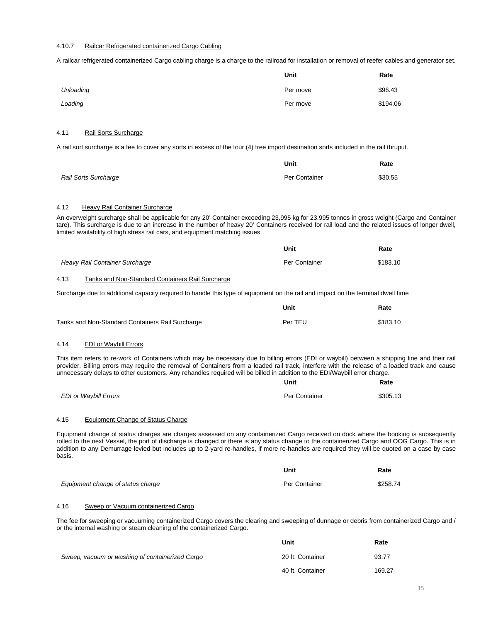## 4.10.7 Railcar Refrigerated containerized Cargo Cabling

A railcar refrigerated containerized Cargo cabling charge is a charge to the railroad for installation or removal of reefer cables and generator set.

|           | Unit     | Rate     |
|-----------|----------|----------|
| Unloading | Per move | \$96.43  |
| Loading   | Per move | \$194.06 |

#### 4.11 Rail Sorts Surcharge

A rail sort surcharge is a fee to cover any sorts in excess of the four (4) free import destination sorts included in the rail thruput.

|                             | Unit          | Rate    |
|-----------------------------|---------------|---------|
| <b>Rail Sorts Surcharge</b> | Per Container | \$30.55 |

# 4.12 Heavy Rail Container Surcharge

An overweight surcharge shall be applicable for any 20' Container exceeding 23,995 kg for 23.995 tonnes in gross weight (Cargo and Container tare). This surcharge is due to an increase in the number of heavy 20' Containers received for rail load and the related issues of longer dwell, limited availability of high stress rail cars, and equipment matching issues.

|                                | Unit          | Rate     |
|--------------------------------|---------------|----------|
| Heavy Rail Container Surcharge | Per Container | \$183.10 |

#### 4.13 Tanks and Non-Standard Containers Rail Surcharge

Surcharge due to additional capacity required to handle this type of equipment on the rail and impact on the terminal dwell time

|                                                  | Unit    | Rate     |
|--------------------------------------------------|---------|----------|
| Tanks and Non-Standard Containers Rail Surcharge | Per TEU | \$183.10 |

## 4.14 EDI or Waybill Errors

This item refers to re-work of Containers which may be necessary due to billing errors (EDI or waybill) between a shipping line and their rail provider. Billing errors may require the removal of Containers from a loaded rail track, interfere with the release of a loaded track and cause unnecessary delays to other customers. Any rehandles required will be billed in addition to the EDI/Waybill error charge.

|                              | Unit          | Rate     |
|------------------------------|---------------|----------|
| <b>EDI or Waybill Errors</b> | Per Container | \$305.13 |

#### 4.15 Equipment Change of Status Charge

Equipment change of status charges are charges assessed on any containerized Cargo received on dock where the booking is subsequently rolled to the next Vessel, the port of discharge is changed or there is any status change to the containerized Cargo and OOG Cargo. This is in addition to any Demurrage levied but includes up to 2-yard re-handles, if more re-handles are required they will be quoted on a case by case basis.

|                                   | Unit          | Rate     |
|-----------------------------------|---------------|----------|
| Equipment change of status charge | Per Container | \$258.74 |

### 4.16 Sweep or Vacuum containerized Cargo

The fee for sweeping or vacuuming containerized Cargo covers the clearing and sweeping of dunnage or debris from containerized Cargo and / or the internal washing or steam cleaning of the containerized Cargo.

|                                                 | Unit             | Rate   |
|-------------------------------------------------|------------------|--------|
| Sweep, vacuum or washing of containerized Cargo | 20 ft. Container | 93.77  |
|                                                 | 40 ft. Container | 169.27 |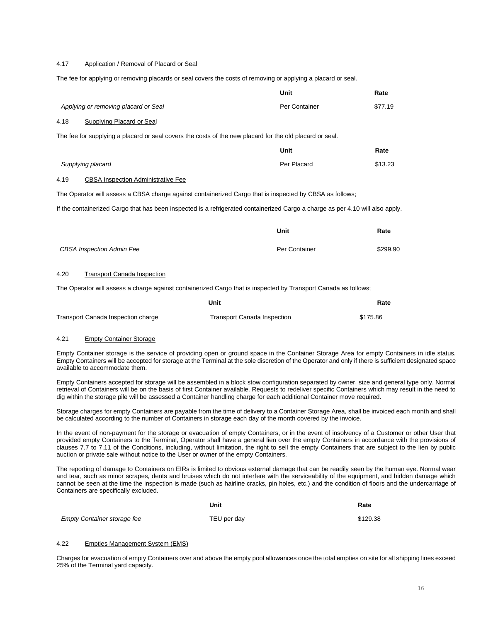# 4.17 Application / Removal of Placard or Seal

The fee for applying or removing placards or seal covers the costs of removing or applying a placard or seal.

| Applying or removing placard or Seal                                                                                                                                                                                                          | Per Container | \$77.19  |
|-----------------------------------------------------------------------------------------------------------------------------------------------------------------------------------------------------------------------------------------------|---------------|----------|
| <b>Supplying Placard or Seal</b><br>4.18                                                                                                                                                                                                      |               |          |
| The fee for supplying a placard or seal covers the costs of the new placard for the old placard or seal.                                                                                                                                      |               |          |
|                                                                                                                                                                                                                                               | Unit          | Rate     |
| Supplying placard                                                                                                                                                                                                                             | Per Placard   | \$13.23  |
| 4.19<br><b>CBSA Inspection Administrative Fee</b>                                                                                                                                                                                             |               |          |
| The Operator will assess a CBSA charge against containerized Cargo that is inspected by CBSA as follows;                                                                                                                                      |               |          |
| If the containerized Cargo that has been inspected is a refrigerated containerized Cargo a charge as per 4.10 will also apply.                                                                                                                |               |          |
|                                                                                                                                                                                                                                               | <b>Unit</b>   | Rate     |
| <b>CBSA Inspection Admin Fee</b>                                                                                                                                                                                                              | Per Container | \$299.90 |
| 4.20<br><b>Transport Canada Inspection</b>                                                                                                                                                                                                    |               |          |
| The $\bigcap$ contractiff concerns the constant contracts and $\bigcap$ constituted by the contract $\bigcap$ constants of $\bigcap$ and $f$ all constants of $f$ all constants of $f$ all constants of $f$ all constants of $f$ all constant |               |          |

**Unit**

**Rate**

The Operator will assess a charge against containerized Cargo that is inspected by Transport Canada as follows:

|                                    | Unit                        | Rate     |
|------------------------------------|-----------------------------|----------|
| Transport Canada Inspection charge | Transport Canada Inspection | \$175.86 |

#### 4.21 Empty Container Storage

Empty Container storage is the service of providing open or ground space in the Container Storage Area for empty Containers in idle status. Empty Containers will be accepted for storage at the Terminal at the sole discretion of the Operator and only if there is sufficient designated space available to accommodate them.

Empty Containers accepted for storage will be assembled in a block stow configuration separated by owner, size and general type only. Normal retrieval of Containers will be on the basis of first Container available. Requests to redeliver specific Containers which may result in the need to dig within the storage pile will be assessed a Container handling charge for each additional Container move required.

Storage charges for empty Containers are payable from the time of delivery to a Container Storage Area, shall be invoiced each month and shall be calculated according to the number of Containers in storage each day of the month covered by the invoice.

In the event of non-payment for the storage or evacuation of empty Containers, or in the event of insolvency of a Customer or other User that provided empty Containers to the Terminal, Operator shall have a general lien over the empty Containers in accordance with the provisions of clauses 7.7 to 7.11 of the Conditions, including, without limitation, the right to sell the empty Containers that are subject to the lien by public auction or private sale without notice to the User or owner of the empty Containers.

The reporting of damage to Containers on EIRs is limited to obvious external damage that can be readily seen by the human eye. Normal wear and tear, such as minor scrapes, dents and bruises which do not interfere with the serviceability of the equipment, and hidden damage which cannot be seen at the time the inspection is made (such as hairline cracks, pin holes, etc.) and the condition of floors and the undercarriage of Containers are specifically excluded.

|                                    | Unit        | Rate     |
|------------------------------------|-------------|----------|
| <b>Empty Container storage fee</b> | TEU per day | \$129.38 |

# 4.22 Empties Management System (EMS)

Charges for evacuation of empty Containers over and above the empty pool allowances once the total empties on site for all shipping lines exceed 25% of the Terminal yard capacity.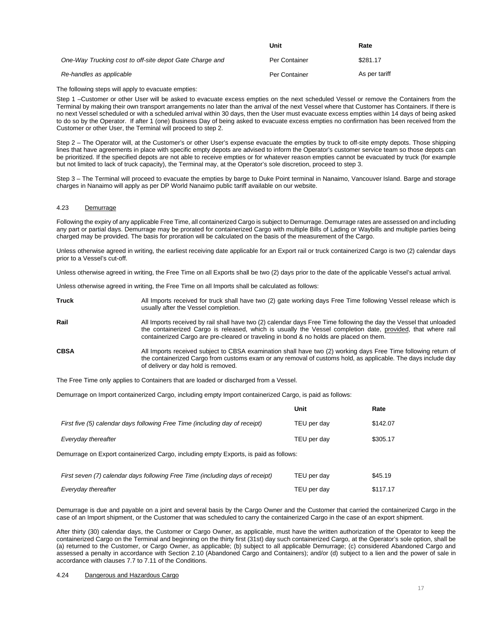|                                                         | Unit          | Rate          |
|---------------------------------------------------------|---------------|---------------|
| One-Way Trucking cost to off-site depot Gate Charge and | Per Container | \$281.17      |
| Re-handles as applicable                                | Per Container | As per tariff |

The following steps will apply to evacuate empties:

Step 1 –Customer or other User will be asked to evacuate excess empties on the next scheduled Vessel or remove the Containers from the Terminal by making their own transport arrangements no later than the arrival of the next Vessel where that Customer has Containers. If there is no next Vessel scheduled or with a scheduled arrival within 30 days, then the User must evacuate excess empties within 14 days of being asked to do so by the Operator. If after 1 (one) Business Day of being asked to evacuate excess empties no confirmation has been received from the Customer or other User, the Terminal will proceed to step 2.

Step 2 – The Operator will, at the Customer's or other User's expense evacuate the empties by truck to off-site empty depots. Those shipping lines that have agreements in place with specific empty depots are advised to inform the Operator's customer service team so those depots can be prioritized. If the specified depots are not able to receive empties or for whatever reason empties cannot be evacuated by truck (for example but not limited to lack of truck capacity), the Terminal may, at the Operator's sole discretion, proceed to step 3.

Step 3 – The Terminal will proceed to evacuate the empties by barge to Duke Point terminal in Nanaimo, Vancouver Island. Barge and storage charges in Nanaimo will apply as per DP World Nanaimo public tariff available on our website.

# 4.23 Demurrage

Following the expiry of any applicable Free Time, all containerized Cargo is subject to Demurrage. Demurrage rates are assessed on and including any part or partial days. Demurrage may be prorated for containerized Cargo with multiple Bills of Lading or Waybills and multiple parties being charged may be provided. The basis for proration will be calculated on the basis of the measurement of the Cargo.

Unless otherwise agreed in writing, the earliest receiving date applicable for an Export rail or truck containerized Cargo is two (2) calendar days prior to a Vessel's cut-off.

Unless otherwise agreed in writing, the Free Time on all Exports shall be two (2) days prior to the date of the applicable Vessel's actual arrival.

Unless otherwise agreed in writing, the Free Time on all Imports shall be calculated as follows:

| Truck | All Imports received for truck shall have two (2) gate working days Free Time following Vessel release which is |
|-------|-----------------------------------------------------------------------------------------------------------------|
|       | usually after the Vessel completion.                                                                            |

**Rail Rail Example 3** All Imports received by rail shall have two (2) calendar days Free Time following the day the Vessel that unloaded the containerized Cargo is released, which is usually the Vessel completion date, provided, that where rail containerized Cargo are pre-cleared or traveling in bond & no holds are placed on them.

**CBSA** All Imports received subject to CBSA examination shall have two (2) working days Free Time following return of the containerized Cargo from customs exam or any removal of customs hold, as applicable. The days include day of delivery or day hold is removed.

The Free Time only applies to Containers that are loaded or discharged from a Vessel.

Demurrage on Import containerized Cargo, including empty Import containerized Cargo, is paid as follows:

|                                                                                       | Unit        | Rate     |
|---------------------------------------------------------------------------------------|-------------|----------|
| First five (5) calendar days following Free Time (including day of receipt)           | TEU per day | \$142.07 |
| Everyday thereafter                                                                   | TEU per day | \$305.17 |
| Demurrage on Export containerized Cargo, including empty Exports, is paid as follows: |             |          |
| First seven (7) calendar days following Free Time (including days of receipt)         | TEU per day | \$45.19  |
| Everyday thereafter                                                                   | TEU per day | \$117.17 |

Demurrage is due and payable on a joint and several basis by the Cargo Owner and the Customer that carried the containerized Cargo in the case of an Import shipment, or the Customer that was scheduled to carry the containerized Cargo in the case of an export shipment.

After thirty (30) calendar days, the Customer or Cargo Owner, as applicable, must have the written authorization of the Operator to keep the containerized Cargo on the Terminal and beginning on the thirty first (31st) day such containerized Cargo, at the Operator's sole option, shall be (a) returned to the Customer, or Cargo Owner, as applicable; (b) subject to all applicable Demurrage; (c) considered Abandoned Cargo and assessed a penalty in accordance with Section 2.10 (Abandoned Cargo and Containers); and/or (d) subject to a lien and the power of sale in accordance with clauses 7.7 to 7.11 of the Conditions.

# 4.24 Dangerous and Hazardous Cargo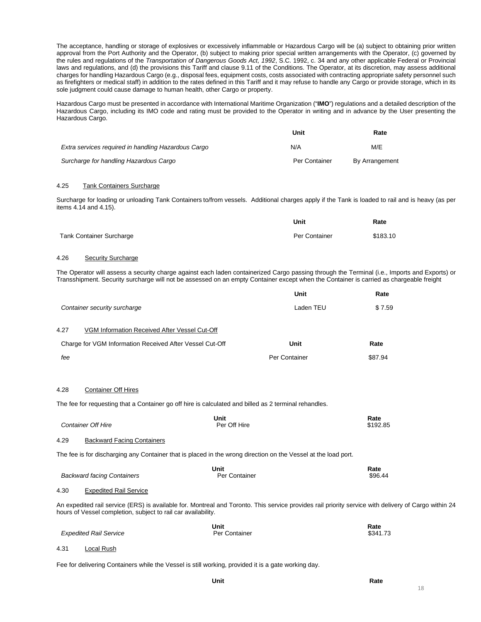The acceptance, handling or storage of explosives or excessively inflammable or Hazardous Cargo will be (a) subject to obtaining prior written approval from the Port Authority and the Operator, (b) subject to making prior special written arrangements with the Operator, (c) governed by the rules and regulations of the *Transportation of Dangerous Goods Act, 1992*, S.C. 1992, c. 34 and any other applicable Federal or Provincial laws and regulations, and (d) the provisions this Tariff and clause 9.11 of the Conditions. The Operator, at its discretion, may assess additional charges for handling Hazardous Cargo (e.g., disposal fees, equipment costs, costs associated with contracting appropriate safety personnel such as firefighters or medical staff) in addition to the rates defined in this Tariff and it may refuse to handle any Cargo or provide storage, which in its sole judgment could cause damage to human health, other Cargo or property.

Hazardous Cargo must be presented in accordance with International Maritime Organization ("**IMO**") regulations and a detailed description of the Hazardous Cargo, including its IMO code and rating must be provided to the Operator in writing and in advance by the User presenting the Hazardous Cargo.

|                                                     | Unit          | Rate           |
|-----------------------------------------------------|---------------|----------------|
| Extra services required in handling Hazardous Cargo | N/A           | M/E            |
| Surcharge for handling Hazardous Cargo              | Per Container | By Arrangement |

# 4.25 Tank Containers Surcharge

Surcharge for loading or unloading Tank Containers to/from vessels. Additional charges apply if the Tank is loaded to rail and is heavy (as per items 4.14 and 4.15).

|                                 | Unit          | Rate     |
|---------------------------------|---------------|----------|
| <b>Tank Container Surcharge</b> | Per Container | \$183.10 |

# 4.26 Security Surcharge

The Operator will assess a security charge against each laden containerized Cargo passing through the Terminal (i.e., Imports and Exports) or Transshipment. Security surcharge will not be assessed on an empty Container except when the Container is carried as chargeable freight

**Unit**

|      | Container security surcharge                                                                                                                                                                                          |                             | Laden TEU     | \$7.59           |
|------|-----------------------------------------------------------------------------------------------------------------------------------------------------------------------------------------------------------------------|-----------------------------|---------------|------------------|
| 4.27 | VGM Information Received After Vessel Cut-Off                                                                                                                                                                         |                             |               |                  |
|      | Charge for VGM Information Received After Vessel Cut-Off                                                                                                                                                              |                             | Unit          | Rate             |
| fee  |                                                                                                                                                                                                                       |                             | Per Container | \$87.94          |
| 4.28 | <b>Container Off Hires</b>                                                                                                                                                                                            |                             |               |                  |
|      | The fee for requesting that a Container go off hire is calculated and billed as 2 terminal rehandles.                                                                                                                 |                             |               |                  |
|      | <b>Container Off Hire</b>                                                                                                                                                                                             | <b>Unit</b><br>Per Off Hire |               | Rate<br>\$192.85 |
| 4.29 | <b>Backward Facing Containers</b>                                                                                                                                                                                     |                             |               |                  |
|      | The fee is for discharging any Container that is placed in the wrong direction on the Vessel at the load port.                                                                                                        |                             |               |                  |
|      | <b>Backward facing Containers</b>                                                                                                                                                                                     | Unit<br>Per Container       |               | Rate<br>\$96.44  |
| 4.30 | <b>Expedited Rail Service</b>                                                                                                                                                                                         |                             |               |                  |
|      | An expedited rail service (ERS) is available for. Montreal and Toronto. This service provides rail priority service with delivery of Cargo within 24<br>hours of Vessel completion, subject to rail car availability. |                             |               |                  |
|      | <b>Expedited Rail Service</b>                                                                                                                                                                                         | Unit<br>Per Container       |               | Rate<br>\$341.73 |
| 4.31 | Local Rush                                                                                                                                                                                                            |                             |               |                  |
|      |                                                                                                                                                                                                                       |                             |               |                  |

Fee for delivering Containers while the Vessel is still working, provided it is a gate working day.

**Rate**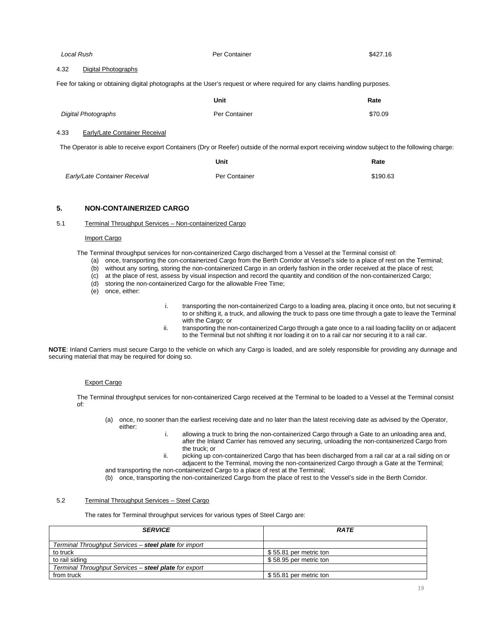| Local Rush                            | Per Container                                                                                                                                    | \$427.16 |
|---------------------------------------|--------------------------------------------------------------------------------------------------------------------------------------------------|----------|
| 4.32<br>Digital Photographs           |                                                                                                                                                  |          |
|                                       | Fee for taking or obtaining digital photographs at the User's request or where required for any claims handling purposes.                        |          |
|                                       | Unit                                                                                                                                             | Rate     |
| <b>Digital Photographs</b>            | Per Container                                                                                                                                    | \$70.09  |
| Early/Late Container Receival<br>4.33 |                                                                                                                                                  |          |
|                                       | The Operator is able to receive export Containers (Dry or Reefer) outside of the normal export receiving window subject to the following charge: |          |
|                                       | Unit                                                                                                                                             | Rate     |
| Early/Late Container Receival         | Per Container                                                                                                                                    | \$190.63 |

# <span id="page-18-0"></span>**5. NON-CONTAINERIZED CARGO**

#### 5.1 Terminal Throughput Services – Non-containerized Cargo

#### Import Cargo

The Terminal throughput services for non-containerized Cargo discharged from a Vessel at the Terminal consist of:

- (a) once, transporting the con-containerized Cargo from the Berth Corridor at Vessel's side to a place of rest on the Terminal;
- (b) without any sorting, storing the non-containerized Cargo in an orderly fashion in the order received at the place of rest;
- (c) at the place of rest, assess by visual inspection and record the quantity and condition of the non-containerized Cargo;
- (d) storing the non-containerized Cargo for the allowable Free Time;
- (e) once, either:
- i. transporting the non-containerized Cargo to a loading area, placing it once onto, but not securing it to or shifting it, a truck, and allowing the truck to pass one time through a gate to leave the Terminal with the Cargo; or
- ii. transporting the non-containerized Cargo through a gate once to a rail loading facility on or adjacent to the Terminal but not shifting it nor loading it on to a rail car nor securing it to a rail car.

**NOTE**: Inland Carriers must secure Cargo to the vehicle on which any Cargo is loaded, and are solely responsible for providing any dunnage and securing material that may be required for doing so.

## Export Cargo

The Terminal throughput services for non-containerized Cargo received at the Terminal to be loaded to a Vessel at the Terminal consist of:

- (a) once, no sooner than the earliest receiving date and no later than the latest receiving date as advised by the Operator, either:
	- i. allowing a truck to bring the non-containerized Cargo through a Gate to an unloading area and, after the Inland Carrier has removed any securing, unloading the non-containerized Cargo from the truck; or
	- ii. picking up con-containerized Cargo that has been discharged from a rail car at a rail siding on or adjacent to the Terminal, moving the non-containerized Cargo through a Gate at the Terminal;
- and transporting the non-containerized Cargo to a place of rest at the Terminal; (b) once, transporting the non-containerized Cargo from the place of rest to the Vessel's side in the Berth Corridor.

#### 5.2 Terminal Throughput Services – Steel Cargo

The rates for Terminal throughput services for various types of Steel Cargo are:

| <b>SERVICE</b>                                        | <b>RATE</b>            |
|-------------------------------------------------------|------------------------|
| Terminal Throughput Services – steel plate for import |                        |
| to truck                                              | \$55.81 per metric ton |
| to rail siding                                        | \$58.95 per metric ton |
| Terminal Throughput Services - steel plate for export |                        |
| from truck                                            | \$55.81 per metric ton |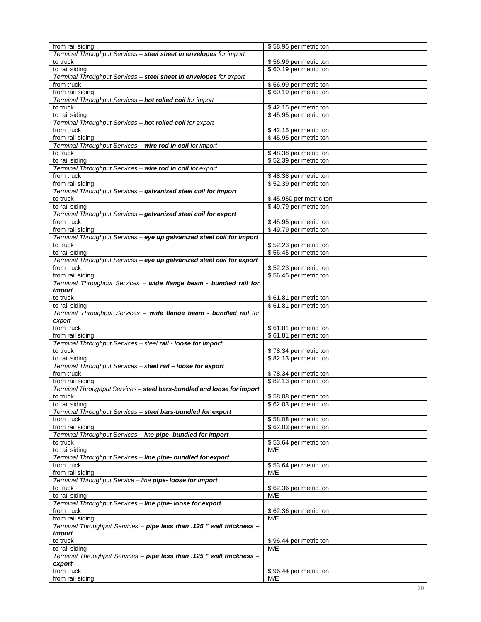| from rail siding                                                       | \$58.95 per metric ton                           |
|------------------------------------------------------------------------|--------------------------------------------------|
| Terminal Throughput Services - steel sheet in envelopes for import     |                                                  |
| to truck                                                               | \$56.99 per metric ton                           |
| to rail siding                                                         | \$60.19 per metric ton                           |
| Terminal Throughput Services - steel sheet in envelopes for export     |                                                  |
| from truck                                                             | \$56.99 per metric ton                           |
| from rail siding                                                       | \$60.19 per metric ton                           |
| Terminal Throughput Services - hot rolled coil for import              |                                                  |
| to truck                                                               | \$42.15 per metric ton                           |
| to rail siding                                                         | \$45.95 per metric ton                           |
| Terminal Throughput Services - hot rolled coil for export              |                                                  |
| from truck                                                             |                                                  |
| from rail siding                                                       | \$42.15 per metric ton<br>\$45.95 per metric ton |
|                                                                        |                                                  |
| Terminal Throughput Services - wire rod in coil for import             |                                                  |
| to truck                                                               | \$48.38 per metric ton                           |
| to rail siding                                                         | \$52.39 per metric ton                           |
| Terminal Throughput Services - wire rod in coil for export             |                                                  |
| from truck                                                             | \$48.38 per metric ton                           |
| from rail siding                                                       | \$52.39 per metric ton                           |
| Terminal Throughput Services - galvanized steel coil for import        |                                                  |
| to truck                                                               | \$45.950 per metric ton                          |
| to rail siding                                                         | \$49.79 per metric ton                           |
| Terminal Throughput Services - galvanized steel coil for export        |                                                  |
| from truck                                                             | \$45.95 per metric ton                           |
| from rail siding                                                       | \$49.79 per metric ton                           |
| Terminal Throughput Services - eye up galvanized steel coil for import |                                                  |
| to truck                                                               |                                                  |
|                                                                        | \$52.23 per metric ton                           |
| to rail siding                                                         | \$56.45 per metric ton                           |
| Terminal Throughput Services - eye up galvanized steel coil for export |                                                  |
| from truck                                                             | \$52.23 per metric ton                           |
| from rail siding                                                       | \$56.45 per metric ton                           |
| Terminal Throughput Services - wide flange beam - bundled rail for     |                                                  |
| import                                                                 |                                                  |
| to truck                                                               | \$61.81 per metric ton                           |
| to rail siding                                                         | \$61.81 per metric ton                           |
|                                                                        |                                                  |
| Terminal Throughput Services - wide flange beam - bundled rail for     |                                                  |
| export                                                                 |                                                  |
| from truck                                                             |                                                  |
| from rail siding                                                       | \$61.81 per metric ton<br>\$61.81 per metric ton |
|                                                                        |                                                  |
| Terminal Throughput Services - steel rail - loose for import           |                                                  |
| to truck                                                               | \$78.34 per metric ton                           |
| to rail siding                                                         | \$82.13 per metric ton                           |
| Terminal Throughput Services - steel rail - loose for export           |                                                  |
| from truck                                                             | \$78.34 per metric ton                           |
| from rail siding                                                       | \$82.13 per metric ton                           |
| Terminal Throughput Services - steel bars-bundled and loose for import |                                                  |
| to truck                                                               | \$58.08 per metric ton                           |
| to rail siding                                                         | \$62.03 per metric ton                           |
| Terminal Throughput Services - steel bars-bundled for export           |                                                  |
| from truck                                                             | \$58.08 per metric ton                           |
| from rail siding                                                       | \$62.03 per metric ton                           |
| Terminal Throughput Services - line pipe- bundled for import           |                                                  |
| to truck                                                               | \$53.64 per metric ton                           |
| to rail siding                                                         | M/E                                              |
| Terminal Throughput Services - line pipe- bundled for export           |                                                  |
| from truck                                                             | \$53.64 per metric ton                           |
| from rail siding                                                       | M/E                                              |
|                                                                        |                                                  |
| Terminal Throughput Service - line pipe- loose for import<br>to truck  |                                                  |
|                                                                        | \$62.36 per metric ton                           |
| to rail siding                                                         | M/E                                              |
| Terminal Throughput Services - line pipe- loose for export             |                                                  |
| from truck                                                             | \$62.36 per metric ton                           |
| from rail siding                                                       | M/E                                              |
| Terminal Throughput Services - pipe less than .125 " wall thickness -  |                                                  |
| import                                                                 |                                                  |
| to truck                                                               | \$96.44 per metric ton                           |
| to rail siding                                                         | M/E                                              |
| Terminal Throughput Services - pipe less than .125 " wall thickness -  |                                                  |
| export                                                                 |                                                  |
| from truck<br>from rail siding                                         | \$96.44 per metric ton<br>M/E                    |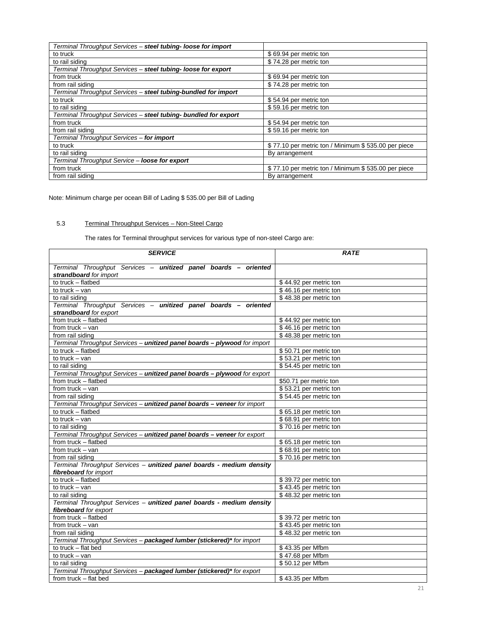| Terminal Throughput Services - steel tubing- loose for import   |                                                     |
|-----------------------------------------------------------------|-----------------------------------------------------|
| to truck                                                        | \$69.94 per metric ton                              |
| to rail siding                                                  | \$74.28 per metric ton                              |
| Terminal Throughput Services - steel tubing- loose for export   |                                                     |
| from truck                                                      | \$69.94 per metric ton                              |
| from rail siding                                                | \$74.28 per metric ton                              |
| Terminal Throughput Services - steel tubing-bundled for import  |                                                     |
| to truck                                                        | \$54.94 per metric ton                              |
| to rail siding                                                  | \$59.16 per metric ton                              |
| Terminal Throughput Services - steel tubing- bundled for export |                                                     |
| from truck                                                      | \$54.94 per metric ton                              |
| from rail siding                                                | \$59.16 per metric ton                              |
| Terminal Throughput Services - for import                       |                                                     |
| to truck                                                        | \$77.10 per metric ton / Minimum \$535.00 per piece |
| to rail siding                                                  | By arrangement                                      |
| Terminal Throughput Service - loose for export                  |                                                     |
| from truck                                                      | \$77.10 per metric ton / Minimum \$535.00 per piece |
| from rail siding                                                | By arrangement                                      |

Note: Minimum charge per ocean Bill of Lading \$ 535.00 per Bill of Lading

# 5.3 Terminal Throughput Services – Non-Steel Cargo

The rates for Terminal throughput services for various type of non-steel Cargo are:

| <b>SERVICE</b>                                                            | <b>RATE</b>            |
|---------------------------------------------------------------------------|------------------------|
| Terminal Throughput Services - unitized panel boards - oriented           |                        |
| strandboard for import                                                    |                        |
| to truck - flatbed                                                        | \$44.92 per metric ton |
| to truck $-$ van                                                          | \$46.16 per metric ton |
| to rail siding                                                            | \$48.38 per metric ton |
| Terminal Throughput Services - unitized panel boards - oriented           |                        |
| strandboard for export                                                    |                        |
| from truck - flatbed                                                      | \$44.92 per metric ton |
| from truck $-$ van                                                        | \$46.16 per metric ton |
| from rail siding                                                          | \$48.38 per metric ton |
| Terminal Throughput Services - unitized panel boards - plywood for import |                        |
| to truck - flatbed                                                        | \$50.71 per metric ton |
| to truck $-$ van                                                          | \$53.21 per metric ton |
| to rail siding                                                            | \$54.45 per metric ton |
| Terminal Throughput Services - unitized panel boards - plywood for export |                        |
| from truck - flatbed                                                      | \$50.71 per metric ton |
| from truck $-$ van                                                        | \$53.21 per metric ton |
| from rail siding                                                          | \$54.45 per metric ton |
| Terminal Throughput Services - unitized panel boards - veneer for import  |                        |
| to truck - flatbed                                                        | \$65.18 per metric ton |
| to truck $-$ van                                                          | \$68.91 per metric ton |
| to rail siding                                                            | \$70.16 per metric ton |
| Terminal Throughput Services - unitized panel boards - veneer for export  |                        |
| from truck - flatbed                                                      | \$65.18 per metric ton |
| from truck $-$ van                                                        | \$68.91 per metric ton |
| from rail siding                                                          | \$70.16 per metric ton |
| Terminal Throughput Services - unitized panel boards - medium density     |                        |
| fibreboard for import                                                     |                        |
| to truck - flatbed                                                        | \$39.72 per metric ton |
| to truck $-$ van                                                          | \$43.45 per metric ton |
| to rail siding                                                            | \$48.32 per metric ton |
| Terminal Throughput Services - unitized panel boards - medium density     |                        |
| fibreboard for export                                                     |                        |
| from truck - flatbed                                                      | \$39.72 per metric ton |
| from truck $-$ van                                                        | \$43.45 per metric ton |
| from rail siding                                                          | \$48.32 per metric ton |
| Terminal Throughput Services - packaged lumber (stickered)* for import    |                        |
| to truck - flat bed                                                       | \$43.35 per Mfbm       |
| to truck $-$ van                                                          | \$47.68 per Mfbm       |
| to rail siding                                                            | \$50.12 per Mfbm       |
| Terminal Throughput Services - packaged lumber (stickered)* for export    |                        |
| from truck - flat bed                                                     | \$43.35 per Mfbm       |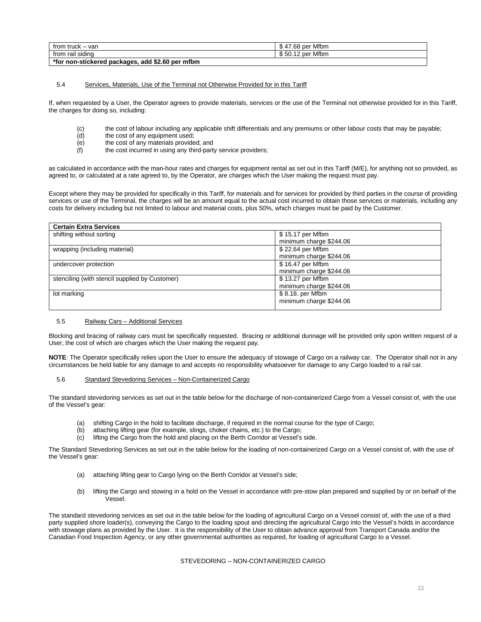| from truck<br>- var<br>$\overline{\phantom{a}}$  | per Mfbm<br>17.68      |
|--------------------------------------------------|------------------------|
| from rail siding                                 | ∙Mfbm<br>' 50.12 per ہ |
| *for non-stickered packages, add \$2.60 per mfbm |                        |

#### 5.4 Services, Materials, Use of the Terminal not Otherwise Provided for in this Tariff

If, when requested by a User, the Operator agrees to provide materials, services or the use of the Terminal not otherwise provided for in this Tariff, the charges for doing so, including:

- (c) the cost of labour including any applicable shift differentials and any premiums or other labour costs that may be payable;<br>(d) the cost of any equipment used:
- (d) the cost of any equipment used;<br>(e) the cost of any materials provide
- the cost of any materials provided; and
- (f) the cost incurred in using any third-party service providers;

as calculated in accordance with the man-hour rates and charges for equipment rental as set out in this Tariff (M/E), for anything not so provided, as agreed to, or calculated at a rate agreed to, by the Operator, are charges which the User making the request must pay.

Except where they may be provided for specifically in this Tariff, for materials and for services for provided by third parties in the course of providing services or use of the Terminal, the charges will be an amount equal to the actual cost incurred to obtain those services or materials, including any costs for delivery including but not limited to labour and material costs, plus 50%, which charges must be paid by the Customer.

| <b>Certain Extra Services</b>                  |                         |
|------------------------------------------------|-------------------------|
| shifting without sorting                       | \$15.17 per Mfbm        |
|                                                | minimum charge \$244.06 |
| wrapping (including material)                  | \$22.64 per Mfbm        |
|                                                | minimum charge \$244.06 |
| undercover protection                          | \$16.47 per Mfbm        |
|                                                | minimum charge \$244.06 |
| stenciling (with stencil supplied by Customer) | \$13.27 per Mfbm        |
|                                                | minimum charge \$244.06 |
| lot marking                                    | \$8.18. per Mfbm        |
|                                                | minimum charge \$244.06 |
|                                                |                         |

#### 5.5 Railway Cars – Additional Services

Blocking and bracing of railway cars must be specifically requested. Bracing or additional dunnage will be provided only upon written request of a User, the cost of which are charges which the User making the request pay.

**NOTE**: The Operator specifically relies upon the User to ensure the adequacy of stowage of Cargo on a railway car. The Operator shall not in any circumstances be held liable for any damage to and accepts no responsibility whatsoever for damage to any Cargo loaded to a rail car.

#### 5.6 Standard Stevedoring Services – Non-Containerized Cargo

The standard stevedoring services as set out in the table below for the discharge of non-containerized Cargo from a Vessel consist of, with the use of the Vessel's gear:

- (a) shifting Cargo in the hold to facilitate discharge, if required in the normal course for the type of Cargo;
- (b) attaching lifting gear (for example, slings, choker chains, etc.) to the Cargo;
- (c) lifting the Cargo from the hold and placing on the Berth Corridor at Vessel's side.

The Standard Stevedoring Services as set out in the table below for the loading of non-containerized Cargo on a Vessel consist of, with the use of the Vessel's gear:

- (a) attaching lifting gear to Cargo lying on the Berth Corridor at Vessel's side;
- (b) lifting the Cargo and stowing in a hold on the Vessel in accordance with pre-stow plan prepared and supplied by or on behalf of the Vessel.

The standard stevedoring services as set out in the table below for the loading of agricultural Cargo on a Vessel consist of, with the use of a third party supplied shore loader(s), conveying the Cargo to the loading spout and directing the agricultural Cargo into the Vessel's holds in accordance with stowage plans as provided by the User. It is the responsibility of the User to obtain advance approval from Transport Canada and/or the Canadian Food Inspection Agency, or any other governmental authorities as required, for loading of agricultural Cargo to a Vessel.

# STEVEDORING – NON-CONTAINERIZED CARGO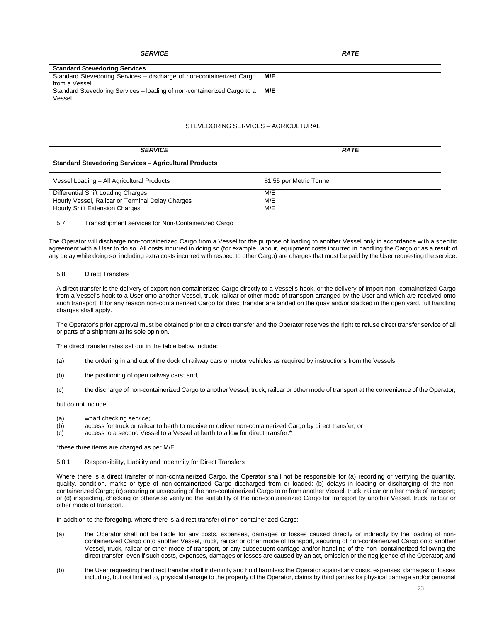| <b>SERVICE</b>                                                          | <b>RATE</b> |
|-------------------------------------------------------------------------|-------------|
| <b>Standard Stevedoring Services</b>                                    |             |
| Standard Stevedoring Services - discharge of non-containerized Cargo    | M/E         |
| from a Vessel                                                           |             |
| Standard Stevedoring Services - loading of non-containerized Cargo to a | M/E         |
| Vessel                                                                  |             |

# STEVEDORING SERVICES – AGRICULTURAL

| <b>SERVICE</b>                                               | <b>RATE</b>             |
|--------------------------------------------------------------|-------------------------|
| <b>Standard Stevedoring Services - Agricultural Products</b> |                         |
| Vessel Loading - All Agricultural Products                   | \$1.55 per Metric Tonne |
| Differential Shift Loading Charges                           | M/E                     |
| Hourly Vessel, Railcar or Terminal Delay Charges             | M/E                     |
| <b>Hourly Shift Extension Charges</b>                        | M/E                     |

#### 5.7 Transshipment services for Non-Containerized Cargo

The Operator will discharge non-containerized Cargo from a Vessel for the purpose of loading to another Vessel only in accordance with a specific agreement with a User to do so. All costs incurred in doing so (for example, labour, equipment costs incurred in handling the Cargo or as a result of any delay while doing so, including extra costs incurred with respect to other Cargo) are charges that must be paid by the User requesting the service.

#### 5.8 Direct Transfers

A direct transfer is the delivery of export non-containerized Cargo directly to a Vessel's hook, or the delivery of Import non- containerized Cargo from a Vessel's hook to a User onto another Vessel, truck, railcar or other mode of transport arranged by the User and which are received onto such transport. If for any reason non-containerized Cargo for direct transfer are landed on the quay and/or stacked in the open yard, full handling charges shall apply.

The Operator's prior approval must be obtained prior to a direct transfer and the Operator reserves the right to refuse direct transfer service of all or parts of a shipment at its sole opinion.

The direct transfer rates set out in the table below include:

- (a) the ordering in and out of the dock of railway cars or motor vehicles as required by instructions from the Vessels;
- (b) the positioning of open railway cars; and,
- (c) the discharge of non-containerized Cargo to another Vessel, truck, railcar or other mode of transport at the convenience of the Operator;

but do not include:

- (a) wharf checking service;<br>(b) access for truck or railca
- access for truck or railcar to berth to receive or deliver non-containerized Cargo by direct transfer; or
- (c) access to a second Vessel to a Vessel at berth to allow for direct transfer.\*

\*these three items are charged as per M/E.

5.8.1 Responsibility, Liability and Indemnity for Direct Transfers

Where there is a direct transfer of non-containerized Cargo, the Operator shall not be responsible for (a) recording or verifying the quantity, quality, condition, marks or type of non-containerized Cargo discharged from or loaded; (b) delays in loading or discharging of the noncontainerized Cargo; (c) securing or unsecuring of the non-containerized Cargo to or from another Vessel, truck, railcar or other mode of transport; or (d) inspecting, checking or otherwise verifying the suitability of the non-containerized Cargo for transport by another Vessel, truck, railcar or other mode of transport.

In addition to the foregoing, where there is a direct transfer of non-containerized Cargo:

- (a) the Operator shall not be liable for any costs, expenses, damages or losses caused directly or indirectly by the loading of noncontainerized Cargo onto another Vessel, truck, railcar or other mode of transport, securing of non-containerized Cargo onto another Vessel, truck, railcar or other mode of transport, or any subsequent carriage and/or handling of the non- containerized following the direct transfer, even if such costs, expenses, damages or losses are caused by an act, omission or the negligence of the Operator; and
- (b) the User requesting the direct transfer shall indemnify and hold harmless the Operator against any costs, expenses, damages or losses including, but not limited to, physical damage to the property of the Operator, claims by third parties for physical damage and/or personal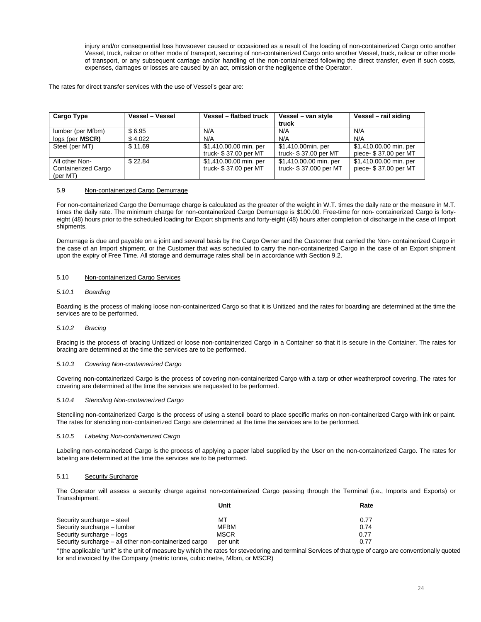injury and/or consequential loss howsoever caused or occasioned as a result of the loading of non-containerized Cargo onto another Vessel, truck, railcar or other mode of transport, securing of non-containerized Cargo onto another Vessel, truck, railcar or other mode of transport, or any subsequent carriage and/or handling of the non-containerized following the direct transfer, even if such costs, expenses, damages or losses are caused by an act, omission or the negligence of the Operator.

The rates for direct transfer services with the use of Vessel's gear are:

| Cargo Type                                               | Vessel - Vessel | Vessel - flatbed truck                          | Vessel - van style<br>truck                      | Vessel - rail siding                            |
|----------------------------------------------------------|-----------------|-------------------------------------------------|--------------------------------------------------|-------------------------------------------------|
| lumber (per Mfbm)                                        | \$6.95          | N/A                                             | N/A                                              | N/A                                             |
| logs (per MSCR)                                          | \$4.022         | N/A                                             | N/A                                              | N/A                                             |
| Steel (per MT)                                           | \$11.69         | \$1,410.00.00 min. per<br>truck- \$37.00 per MT | \$1,410.00min. per<br>truck- \$37.00 per MT      | \$1,410.00.00 min. per<br>piece- \$37.00 per MT |
| All other Non-<br><b>Containerized Cargo</b><br>(per MT) | \$22.84         | \$1,410.00.00 min. per<br>truck- \$37.00 per MT | \$1,410.00.00 min. per<br>truck- \$37.000 per MT | \$1,410.00.00 min. per<br>piece- \$37.00 per MT |

# 5.9 Non-containerized Cargo Demurrage

For non-containerized Cargo the Demurrage charge is calculated as the greater of the weight in W.T. times the daily rate or the measure in M.T. times the daily rate. The minimum charge for non-containerized Cargo Demurrage is \$100.00. Free-time for non- containerized Cargo is fortyeight (48) hours prior to the scheduled loading for Export shipments and forty-eight (48) hours after completion of discharge in the case of Import shipments.

Demurrage is due and payable on a joint and several basis by the Cargo Owner and the Customer that carried the Non- containerized Cargo in the case of an Import shipment, or the Customer that was scheduled to carry the non-containerized Cargo in the case of an Export shipment upon the expiry of Free Time. All storage and demurrage rates shall be in accordance with Section 9.2.

# 5.10 Non-containerized Cargo Services

#### *5.10.1 Boarding*

Boarding is the process of making loose non-containerized Cargo so that it is Unitized and the rates for boarding are determined at the time the services are to be performed.

# *5.10.2 Bracing*

Bracing is the process of bracing Unitized or loose non-containerized Cargo in a Container so that it is secure in the Container. The rates for bracing are determined at the time the services are to be performed.

#### *5.10.3 Covering Non-containerized Cargo*

Covering non-containerized Cargo is the process of covering non-containerized Cargo with a tarp or other weatherproof covering. The rates for covering are determined at the time the services are requested to be performed.

## *5.10.4 Stenciling Non-containerized Cargo*

Stenciling non-containerized Cargo is the process of using a stencil board to place specific marks on non-containerized Cargo with ink or paint. The rates for stenciling non-containerized Cargo are determined at the time the services are to be performed.

#### *5.10.5 Labeling Non-containerized Cargo*

Labeling non-containerized Cargo is the process of applying a paper label supplied by the User on the non-containerized Cargo. The rates for labeling are determined at the time the services are to be performed.

#### 5.11 Security Surcharge

The Operator will assess a security charge against non-containerized Cargo passing through the Terminal (i.e., Imports and Exports) or Transshipment.

|                                                        | Unit        | Rate |
|--------------------------------------------------------|-------------|------|
| Security surcharge - steel                             | мт          | 0.77 |
| Security surcharge - lumber                            | <b>MFBM</b> | 0.74 |
| Security surcharge - logs                              | <b>MSCR</b> | 0.77 |
| Security surcharge – all other non-containerized cargo | per unit    | 0.77 |

\*(the applicable "unit" is the unit of measure by which the rates for stevedoring and terminal Services of that type of cargo are conventionally quoted for and invoiced by the Company (metric tonne, cubic metre, Mfbm, or MSCR)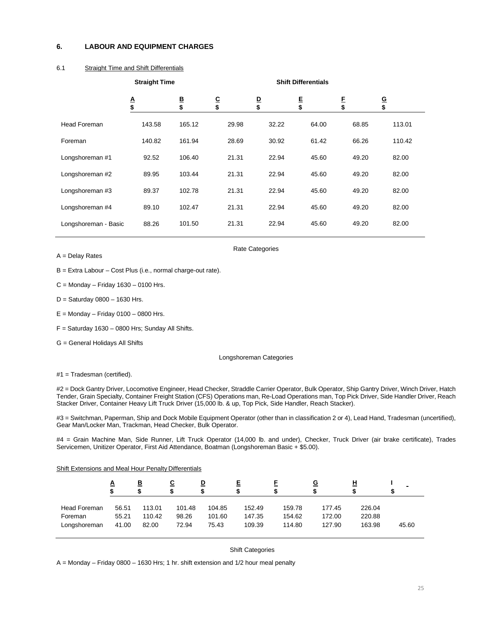# <span id="page-24-0"></span>**6. LABOUR AND EQUIPMENT CHARGES**

# 6.1 Straight Time and Shift Differentials

|                      | <b>Straight Time</b> |              |              | <b>Shift Differentials</b> |             |         |              |
|----------------------|----------------------|--------------|--------------|----------------------------|-------------|---------|--------------|
|                      | $rac{A}{\$}$         | $rac{B}{\$}$ | $rac{C}{\$}$ | $\frac{D}{\$}$             | $rac{E}{s}$ | E<br>\$ | $rac{G}{\$}$ |
| <b>Head Foreman</b>  | 143.58               | 165.12       | 29.98        | 32.22                      | 64.00       | 68.85   | 113.01       |
| Foreman              | 140.82               | 161.94       | 28.69        | 30.92                      | 61.42       | 66.26   | 110.42       |
| Longshoreman #1      | 92.52                | 106.40       | 21.31        | 22.94                      | 45.60       | 49.20   | 82.00        |
| Longshoreman #2      | 89.95                | 103.44       | 21.31        | 22.94                      | 45.60       | 49.20   | 82.00        |
| Longshoreman #3      | 89.37                | 102.78       | 21.31        | 22.94                      | 45.60       | 49.20   | 82.00        |
| Longshoreman #4      | 89.10                | 102.47       | 21.31        | 22.94                      | 45.60       | 49.20   | 82.00        |
| Longshoreman - Basic | 88.26                | 101.50       | 21.31        | 22.94                      | 45.60       | 49.20   | 82.00        |

A = Delay Rates

Rate Categories

B = Extra Labour – Cost Plus (i.e., normal charge-out rate).

 $C =$  Monday – Friday 1630 – 0100 Hrs.

- $D =$  Saturday 0800 1630 Hrs.
- $E =$  Monday Friday 0100 0800 Hrs.
- $F =$  Saturday 1630 0800 Hrs; Sunday All Shifts.

G = General Holidays All Shifts

#### Longshoreman Categories

#1 = Tradesman (certified).

#2 = Dock Gantry Driver, Locomotive Engineer, Head Checker, Straddle Carrier Operator, Bulk Operator, Ship Gantry Driver, Winch Driver, Hatch Tender, Grain Specialty, Container Freight Station (CFS) Operations man, Re-Load Operations man, Top Pick Driver, Side Handler Driver, Reach Stacker Driver, Container Heavy Lift Truck Driver (15,000 lb. & up, Top Pick, Side Handler, Reach Stacker).

#3 = Switchman, Paperman, Ship and Dock Mobile Equipment Operator (other than in classification 2 or 4), Lead Hand, Tradesman (uncertified), Gear Man/Locker Man, Trackman, Head Checker, Bulk Operator.

#4 = Grain Machine Man, Side Runner, Lift Truck Operator (14,000 lb. and under), Checker, Truck Driver (air brake certificate), Trades Servicemen, Unitizer Operator, First Aid Attendance, Boatman (Longshoreman Basic + \$5.00).

#### Shift Extensions and Meal Hour Penalty Differentials

|              | <u>A</u> | B      | <u>c</u><br>S | ⊵      | Е      |        | <u>G</u> | н      |       |
|--------------|----------|--------|---------------|--------|--------|--------|----------|--------|-------|
| Head Foreman | 56.51    | 113.01 | 101.48        | 104.85 | 152.49 | 159.78 | 177.45   | 226.04 | 45.60 |
| Foreman      | 55.21    | 110.42 | 98.26         | 101.60 | 147.35 | 154.62 | 172.00   | 220.88 |       |
| Longshoreman | 41.00    | 82.00  | 72.94         | 75.43  | 109.39 | 114.80 | 127.90   | 163.98 |       |

Shift Categories

A = Monday – Friday 0800 – 1630 Hrs; 1 hr. shift extension and 1/2 hour meal penalty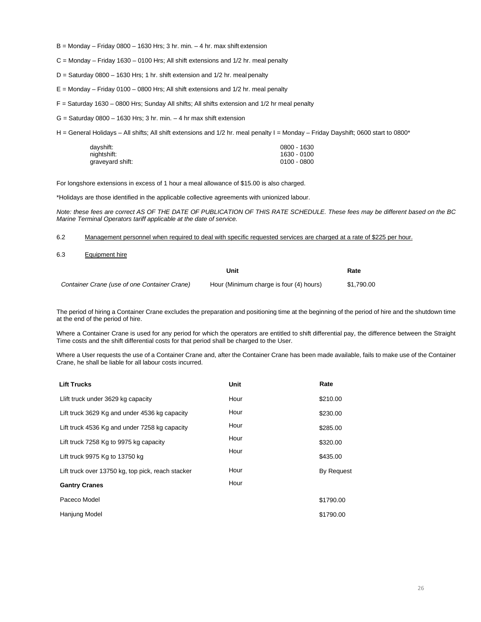- $B =$  Monday Friday 0800 1630 Hrs; 3 hr. min. 4 hr. max shift extension
- C = Monday Friday 1630 0100 Hrs; All shift extensions and 1/2 hr. meal penalty
- $D =$  Saturday 0800 1630 Hrs; 1 hr. shift extension and 1/2 hr. meal penalty
- $E =$  Monday Friday 0100 0800 Hrs; All shift extensions and 1/2 hr. meal penalty
- F = Saturday 1630 0800 Hrs; Sunday All shifts; All shifts extension and 1/2 hr meal penalty
- $G =$  Saturday 0800 1630 Hrs; 3 hr, min. 4 hr max shift extension

H = General Holidays – All shifts; All shift extensions and 1/2 hr. meal penalty I = Monday – Friday Dayshift; 0600 start to 0800\*

| dayshift:        | 0800 - 1630 |
|------------------|-------------|
| nightshift:      | 1630 - 0100 |
| graveyard shift: | 0100 - 0800 |

For longshore extensions in excess of 1 hour a meal allowance of \$15.00 is also charged.

\*Holidays are those identified in the applicable collective agreements with unionized labour.

*Note: these fees are correct AS OF THE DATE OF PUBLICATION OF THIS RATE SCHEDULE. These fees may be different based on the BC Marine Terminal Operators tariff applicable at the date of service.*

6.2 Management personnel when required to deal with specific requested services are charged at a rate of \$225 per hour.

6.3 Equipment hire

|                                              | Unit                                    | Rate       |
|----------------------------------------------|-----------------------------------------|------------|
| Container Crane (use of one Container Crane) | Hour (Minimum charge is four (4) hours) | \$1,790.00 |

The period of hiring a Container Crane excludes the preparation and positioning time at the beginning of the period of hire and the shutdown time at the end of the period of hire.

Where a Container Crane is used for any period for which the operators are entitled to shift differential pay, the difference between the Straight Time costs and the shift differential costs for that period shall be charged to the User.

Where a User requests the use of a Container Crane and, after the Container Crane has been made available, fails to make use of the Container Crane, he shall be liable for all labour costs incurred.

| <b>Lift Trucks</b>                                | Unit | Rate              |
|---------------------------------------------------|------|-------------------|
| Llift truck under 3629 kg capacity                | Hour | \$210.00          |
| Lift truck 3629 Kg and under 4536 kg capacity     | Hour | \$230.00          |
| Lift truck 4536 Kg and under 7258 kg capacity     | Hour | \$285.00          |
| Lift truck 7258 Kg to 9975 kg capacity            | Hour | \$320.00          |
| Lift truck 9975 Kg to 13750 kg                    | Hour | \$435.00          |
| Lift truck over 13750 kg, top pick, reach stacker | Hour | <b>By Request</b> |
| <b>Gantry Cranes</b>                              | Hour |                   |
| Paceco Model                                      |      | \$1790.00         |
| Hanjung Model                                     |      | \$1790.00         |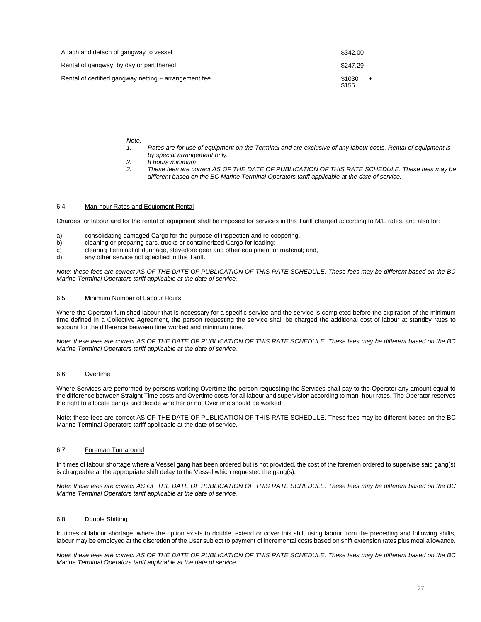| Attach and detach of gangway to vessel                | \$342.00        |     |
|-------------------------------------------------------|-----------------|-----|
| Rental of gangway, by day or part thereof             | \$247.29        |     |
| Rental of certified gangway netting + arrangement fee | \$1030<br>\$155 | $+$ |

#### *Note:*

- *1. Rates are for use of equipment on the Terminal and are exclusive of any labour costs. Rental of equipment is by special arrangement only.*
- *2. 8 hours minimum*
- *3. These fees are correct AS OF THE DATE OF PUBLICATION OF THIS RATE SCHEDULE. These fees may be different based on the BC Marine Terminal Operators tariff applicable at the date of service.*

# 6.4 Man-hour Rates and Equipment Rental

Charges for labour and for the rental of equipment shall be imposed for services in this Tariff charged according to M/E rates, and also for:

- a) consolidating damaged Cargo for the purpose of inspection and re-coopering.
- cleaning or preparing cars, trucks or containerized Cargo for loading;
- c) clearing Terminal of dunnage, stevedore gear and other equipment or material; and, d) any other service not specified in this Tariff.
- any other service not specified in this Tariff.

*Note: these fees are correct AS OF THE DATE OF PUBLICATION OF THIS RATE SCHEDULE. These fees may be different based on the BC Marine Terminal Operators tariff applicable at the date of service.*

# 6.5 Minimum Number of Labour Hours

Where the Operator furnished labour that is necessary for a specific service and the service is completed before the expiration of the minimum time defined in a Collective Agreement, the person requesting the service shall be charged the additional cost of labour at standby rates to account for the difference between time worked and minimum time.

*Note: these fees are correct AS OF THE DATE OF PUBLICATION OF THIS RATE SCHEDULE. These fees may be different based on the BC Marine Terminal Operators tariff applicable at the date of service.*

## 6.6 Overtime

Where Services are performed by persons working Overtime the person requesting the Services shall pay to the Operator any amount equal to the difference between Straight Time costs and Overtime costs for all labour and supervision according to man- hour rates. The Operator reserves the right to allocate gangs and decide whether or not Overtime should be worked.

Note: these fees are correct AS OF THE DATE OF PUBLICATION OF THIS RATE SCHEDULE. These fees may be different based on the BC Marine Terminal Operators tariff applicable at the date of service.

# 6.7 Foreman Turnaround

In times of labour shortage where a Vessel gang has been ordered but is not provided, the cost of the foremen ordered to supervise said gang(s) is chargeable at the appropriate shift delay to the Vessel which requested the gang(s).

*Note: these fees are correct AS OF THE DATE OF PUBLICATION OF THIS RATE SCHEDULE. These fees may be different based on the BC Marine Terminal Operators tariff applicable at the date of service.*

## 6.8 Double Shifting

In times of labour shortage, where the option exists to double, extend or cover this shift using labour from the preceding and following shifts. labour may be employed at the discretion of the User subject to payment of incremental costs based on shift extension rates plus meal allowance.

*Note: these fees are correct AS OF THE DATE OF PUBLICATION OF THIS RATE SCHEDULE. These fees may be different based on the BC Marine Terminal Operators tariff applicable at the date of service.*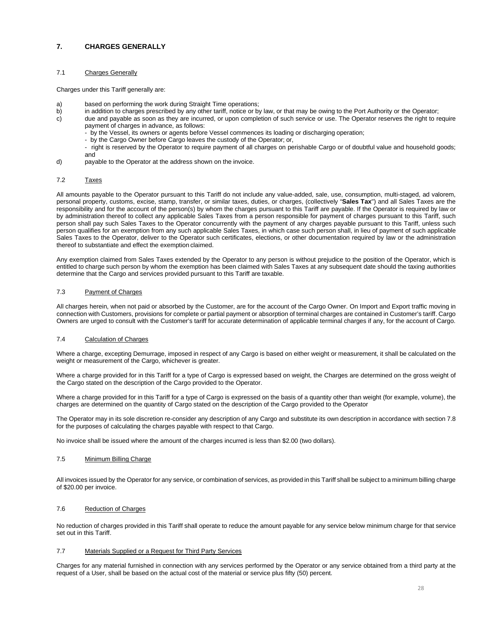# <span id="page-27-0"></span>**7. CHARGES GENERALLY**

# 7.1 Charges Generally

Charges under this Tariff generally are:

- a) based on performing the work during Straight Time operations;<br>b) in addition to charges prescribed by any other tariff, notice or by
- b) in addition to charges prescribed by any other tariff, notice or by law, or that may be owing to the Port Authority or the Operator;<br>c) due and pavable as soon as they are incurred, or upon completion of such service or
- due and payable as soon as they are incurred, or upon completion of such service or use. The Operator reserves the right to require payment of charges in advance, as follows:
	- by the Vessel, its owners or agents before Vessel commences its loading or discharging operation;
	- by the Cargo Owner before Cargo leaves the custody of the Operator; or,
	- right is reserved by the Operator to require payment of all charges on perishable Cargo or of doubtful value and household goods; and
- d) payable to the Operator at the address shown on the invoice.

## 7.2 Taxes

All amounts payable to the Operator pursuant to this Tariff do not include any value-added, sale, use, consumption, multi-staged, ad valorem, personal property, customs, excise, stamp, transfer, or similar taxes, duties, or charges, (collectively "**Sales Tax**") and all Sales Taxes are the responsibility and for the account of the person(s) by whom the charges pursuant to this Tariff are payable. If the Operator is required by law or by administration thereof to collect any applicable Sales Taxes from a person responsible for payment of charges pursuant to this Tariff, such person shall pay such Sales Taxes to the Operator concurrently with the payment of any charges payable pursuant to this Tariff, unless such person qualifies for an exemption from any such applicable Sales Taxes, in which case such person shall, in lieu of payment of such applicable Sales Taxes to the Operator, deliver to the Operator such certificates, elections, or other documentation required by law or the administration thereof to substantiate and effect the exemption claimed.

Any exemption claimed from Sales Taxes extended by the Operator to any person is without prejudice to the position of the Operator, which is entitled to charge such person by whom the exemption has been claimed with Sales Taxes at any subsequent date should the taxing authorities determine that the Cargo and services provided pursuant to this Tariff are taxable.

## 7.3 Payment of Charges

All charges herein, when not paid or absorbed by the Customer, are for the account of the Cargo Owner. On Import and Export traffic moving in connection with Customers, provisions for complete or partial payment or absorption of terminal charges are contained in Customer's tariff. Cargo Owners are urged to consult with the Customer's tariff for accurate determination of applicable terminal charges if any, for the account of Cargo.

# 7.4 Calculation of Charges

Where a charge, excepting Demurrage, imposed in respect of any Cargo is based on either weight or measurement, it shall be calculated on the weight or measurement of the Cargo, whichever is greater.

Where a charge provided for in this Tariff for a type of Cargo is expressed based on weight, the Charges are determined on the gross weight of the Cargo stated on the description of the Cargo provided to the Operator.

Where a charge provided for in this Tariff for a type of Cargo is expressed on the basis of a quantity other than weight (for example, volume), the charges are determined on the quantity of Cargo stated on the description of the Cargo provided to the Operator

The Operator may in its sole discretion re-consider any description of any Cargo and substitute its own description in accordance with section 7.8 for the purposes of calculating the charges payable with respect to that Cargo.

No invoice shall be issued where the amount of the charges incurred is less than \$2.00 (two dollars).

# 7.5 Minimum Billing Charge

All invoices issued by the Operator for any service, or combination of services, as provided in this Tariff shall be subject to a minimum billing charge of \$20.00 per invoice.

# 7.6 Reduction of Charges

No reduction of charges provided in this Tariff shall operate to reduce the amount payable for any service below minimum charge for that service set out in this Tariff.

#### 7.7 Materials Supplied or a Request for Third Party Services

Charges for any material furnished in connection with any services performed by the Operator or any service obtained from a third party at the request of a User, shall be based on the actual cost of the material or service plus fifty (50) percent.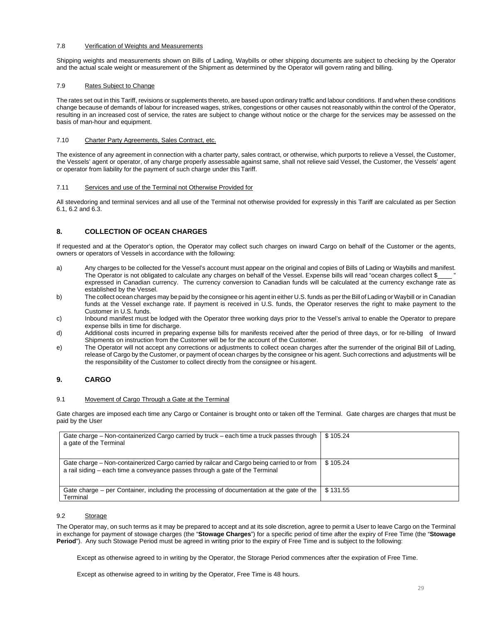#### 7.8 Verification of Weights and Measurements

Shipping weights and measurements shown on Bills of Lading, Waybills or other shipping documents are subject to checking by the Operator and the actual scale weight or measurement of the Shipment as determined by the Operator will govern rating and billing.

## 7.9 Rates Subject to Change

The rates set out in this Tariff, revisions or supplements thereto, are based upon ordinary traffic and labour conditions. If and when these conditions change because of demands of labour for increased wages, strikes, congestions or other causes not reasonably within the control of the Operator, resulting in an increased cost of service, the rates are subject to change without notice or the charge for the services may be assessed on the basis of man-hour and equipment.

# 7.10 Charter Party Agreements, Sales Contract, etc.

The existence of any agreement in connection with a charter party, sales contract, or otherwise, which purports to relieve a Vessel, the Customer, the Vessels' agent or operator, of any charge properly assessable against same, shall not relieve said Vessel, the Customer, the Vessels' agent or operator from liability for the payment of such charge under this Tariff.

#### 7.11 Services and use of the Terminal not Otherwise Provided for

All stevedoring and terminal services and all use of the Terminal not otherwise provided for expressly in this Tariff are calculated as per Section 6.1, 6.2 and 6.3.

# <span id="page-28-0"></span>**8. COLLECTION OF OCEAN CHARGES**

If requested and at the Operator's option, the Operator may collect such charges on inward Cargo on behalf of the Customer or the agents, owners or operators of Vessels in accordance with the following:

- a) Any charges to be collected for the Vessel's account must appear on the original and copies of Bills of Lading or Waybills and manifest. The Operator is not obligated to calculate any charges on behalf of the Vessel. Expense bills will read "ocean charges collect \$ expressed in Canadian currency. The currency conversion to Canadian funds will be calculated at the currency exchange rate as established by the Vessel.
- b) The collect ocean charges may be paid by the consignee or his agent in either U.S. funds as per the Bill of Lading or Waybill or in Canadian funds at the Vessel exchange rate. If payment is received in U.S. funds, the Operator reserves the right to make payment to the Customer in U.S. funds.
- c) Inbound manifest must be lodged with the Operator three working days prior to the Vessel's arrival to enable the Operator to prepare expense bills in time for discharge.
- d) Additional costs incurred in preparing expense bills for manifests received after the period of three days, or for re-billing of Inward Shipments on instruction from the Customer will be for the account of the Customer.
- e) The Operator will not accept any corrections or adjustments to collect ocean charges after the surrender of the original Bill of Lading, release of Cargo by the Customer, or payment of ocean charges by the consignee or his agent. Such corrections and adjustments will be the responsibility of the Customer to collect directly from the consignee or hisagent.

# <span id="page-28-1"></span>**9. CARGO**

#### 9.1 Movement of Cargo Through a Gate at the Terminal

Gate charges are imposed each time any Cargo or Container is brought onto or taken off the Terminal. Gate charges are charges that must be paid by the User

| Gate charge – Non-containerized Cargo carried by truck – each time a truck passes through<br>a gate of the Terminal                                                         | \$105.24 |
|-----------------------------------------------------------------------------------------------------------------------------------------------------------------------------|----------|
| Gate charge - Non-containerized Cargo carried by railcar and Cargo being carried to or from<br>a rail siding – each time a conveyance passes through a gate of the Terminal | \$105.24 |
| Gate charge – per Container, including the processing of documentation at the gate of the<br>Terminal                                                                       | \$131.55 |

#### 9.2 Storage

The Operator may, on such terms as it may be prepared to accept and at its sole discretion, agree to permit a User to leave Cargo on the Terminal in exchange for payment of stowage charges (the "**Stowage Charges**") for a specific period of time after the expiry of Free Time (the "**Stowage Period**"). Any such Stowage Period must be agreed in writing prior to the expiry of Free Time and is subject to the following:

Except as otherwise agreed to in writing by the Operator, the Storage Period commences after the expiration of Free Time.

Except as otherwise agreed to in writing by the Operator, Free Time is 48 hours.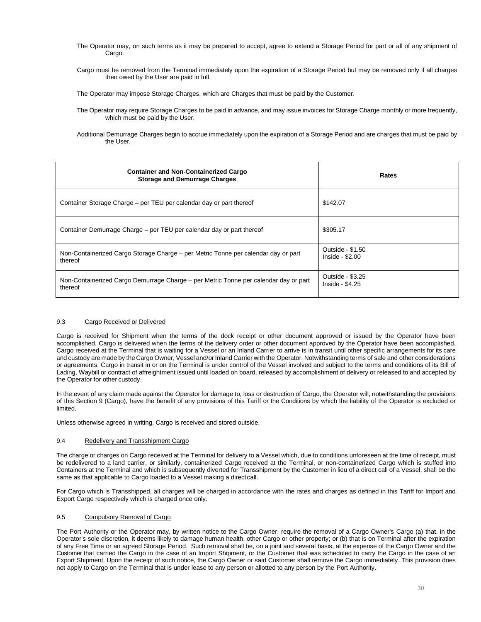- The Operator may, on such terms as it may be prepared to accept, agree to extend a Storage Period for part or all of any shipment of Cargo.
- Cargo must be removed from the Terminal immediately upon the expiration of a Storage Period but may be removed only if all charges then owed by the User are paid in full.

The Operator may impose Storage Charges, which are Charges that must be paid by the Customer.

The Operator may require Storage Charges to be paid in advance, and may issue invoices for Storage Charge monthly or more frequently, which must be paid by the User.

Additional Demurrage Charges begin to accrue immediately upon the expiration of a Storage Period and are charges that must be paid by the User.

| <b>Container and Non-Containerized Cargo</b><br><b>Storage and Demurrage Charges</b>            | Rates                                |
|-------------------------------------------------------------------------------------------------|--------------------------------------|
| Container Storage Charge - per TEU per calendar day or part thereof                             | \$142.07                             |
| Container Demurrage Charge – per TEU per calendar day or part thereof                           | \$305.17                             |
| Non-Containerized Cargo Storage Charge – per Metric Tonne per calendar day or part<br>thereof   | Outside - \$1.50<br>$Inside - $2.00$ |
| Non-Containerized Cargo Demurrage Charge – per Metric Tonne per calendar day or part<br>thereof | Outside - \$3.25<br>Inside - \$4.25  |

# 9.3 Cargo Received or Delivered

Cargo is received for Shipment when the terms of the dock receipt or other document approved or issued by the Operator have been accomplished. Cargo is delivered when the terms of the delivery order or other document approved by the Operator have been accomplished. Cargo received at the Terminal that is waiting for a Vessel or an Inland Carrier to arrive is in transit until other specific arrangements for its care and custody are made by the Cargo Owner, Vessel and/or Inland Carrier with the Operator. Notwithstanding terms of sale and other considerations or agreements, Cargo in transit in or on the Terminal is under control of the Vessel involved and subject to the terms and conditions of its Bill of Lading, Waybill or contract of affreightment issued until loaded on board, released by accomplishment of delivery or released to and accepted by the Operator for other custody.

In the event of any claim made against the Operator for damage to, loss or destruction of Cargo, the Operator will, notwithstanding the provisions of this Section 9 (Cargo), have the benefit of any provisions of this Tariff or the Conditions by which the liability of the Operator is excluded or limited.

Unless otherwise agreed in writing, Cargo is received and stored outside.

# 9.4 Redelivery and Transshipment Cargo

The charge or charges on Cargo received at the Terminal for delivery to a Vessel which, due to conditions unforeseen at the time of receipt, must be redelivered to a land carrier, or similarly, containerized Cargo received at the Terminal, or non-containerized Cargo which is stuffed into Containers at the Terminal and which is subsequently diverted for Transshipment by the Customer in lieu of a direct call of a Vessel, shall be the same as that applicable to Cargo loaded to a Vessel making a direct call.

For Cargo which is Transshipped, all charges will be charged in accordance with the rates and charges as defined in this Tariff for Import and Export Cargo respectively which is charged once only.

# 9.5 Compulsory Removal of Cargo

The Port Authority or the Operator may, by written notice to the Cargo Owner, require the removal of a Cargo Owner's Cargo (a) that, in the Operator's sole discretion, it deems likely to damage human health, other Cargo or other property; or (b) that is on Terminal after the expiration of any Free Time or an agreed Storage Period. Such removal shall be, on a joint and several basis, at the expense of the Cargo Owner and the Customer that carried the Cargo in the case of an Import Shipment, or the Customer that was scheduled to carry the Cargo in the case of an Export Shipment. Upon the receipt of such notice, the Cargo Owner or said Customer shall remove the Cargo immediately. This provision does not apply to Cargo on the Terminal that is under lease to any person or allotted to any person by the Port Authority.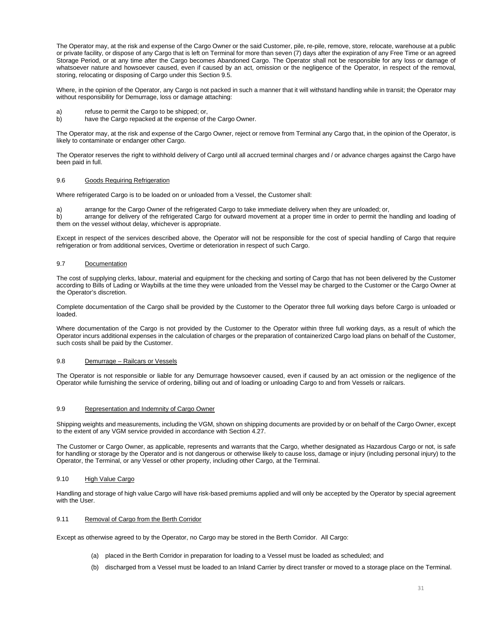The Operator may, at the risk and expense of the Cargo Owner or the said Customer, pile, re-pile, remove, store, relocate, warehouse at a public or private facility, or dispose of any Cargo that is left on Terminal for more than seven (7) days after the expiration of any Free Time or an agreed Storage Period, or at any time after the Cargo becomes Abandoned Cargo. The Operator shall not be responsible for any loss or damage of whatsoever nature and howsoever caused, even if caused by an act, omission or the negligence of the Operator, in respect of the removal, storing, relocating or disposing of Cargo under this Section 9.5.

Where, in the opinion of the Operator, any Cargo is not packed in such a manner that it will withstand handling while in transit; the Operator may without responsibility for Demurrage, loss or damage attaching:

- a) refuse to permit the Cargo to be shipped; or,
- b) have the Cargo repacked at the expense of the Cargo Owner.

The Operator may, at the risk and expense of the Cargo Owner, reject or remove from Terminal any Cargo that, in the opinion of the Operator, is likely to contaminate or endanger other Cargo.

The Operator reserves the right to withhold delivery of Cargo until all accrued terminal charges and / or advance charges against the Cargo have been paid in full.

## 9.6 Goods Requiring Refrigeration

Where refrigerated Cargo is to be loaded on or unloaded from a Vessel, the Customer shall:

a) arrange for the Cargo Owner of the refrigerated Cargo to take immediate delivery when they are unloaded; or,

b) arrange for delivery of the refrigerated Cargo for outward movement at a proper time in order to permit the handling and loading of them on the vessel without delay, whichever is appropriate.

Except in respect of the services described above, the Operator will not be responsible for the cost of special handling of Cargo that require refrigeration or from additional services, Overtime or deterioration in respect of such Cargo.

## 9.7 Documentation

The cost of supplying clerks, labour, material and equipment for the checking and sorting of Cargo that has not been delivered by the Customer according to Bills of Lading or Waybills at the time they were unloaded from the Vessel may be charged to the Customer or the Cargo Owner at the Operator's discretion.

Complete documentation of the Cargo shall be provided by the Customer to the Operator three full working days before Cargo is unloaded or loaded.

Where documentation of the Cargo is not provided by the Customer to the Operator within three full working days, as a result of which the Operator incurs additional expenses in the calculation of charges or the preparation of containerized Cargo load plans on behalf of the Customer, such costs shall be paid by the Customer.

#### 9.8 Demurrage – Railcars or Vessels

The Operator is not responsible or liable for any Demurrage howsoever caused, even if caused by an act omission or the negligence of the Operator while furnishing the service of ordering, billing out and of loading or unloading Cargo to and from Vessels or railcars.

#### 9.9 Representation and Indemnity of Cargo Owner

Shipping weights and measurements, including the VGM, shown on shipping documents are provided by or on behalf of the Cargo Owner, except to the extent of any VGM service provided in accordance with Section 4.27.

The Customer or Cargo Owner, as applicable, represents and warrants that the Cargo, whether designated as Hazardous Cargo or not, is safe for handling or storage by the Operator and is not dangerous or otherwise likely to cause loss, damage or injury (including personal injury) to the Operator, the Terminal, or any Vessel or other property, including other Cargo, at the Terminal.

# 9.10 High Value Cargo

Handling and storage of high value Cargo will have risk-based premiums applied and will only be accepted by the Operator by special agreement with the User.

## 9.11 Removal of Cargo from the Berth Corridor

Except as otherwise agreed to by the Operator, no Cargo may be stored in the Berth Corridor. All Cargo:

- (a) placed in the Berth Corridor in preparation for loading to a Vessel must be loaded as scheduled; and
- (b) discharged from a Vessel must be loaded to an Inland Carrier by direct transfer or moved to a storage place on the Terminal.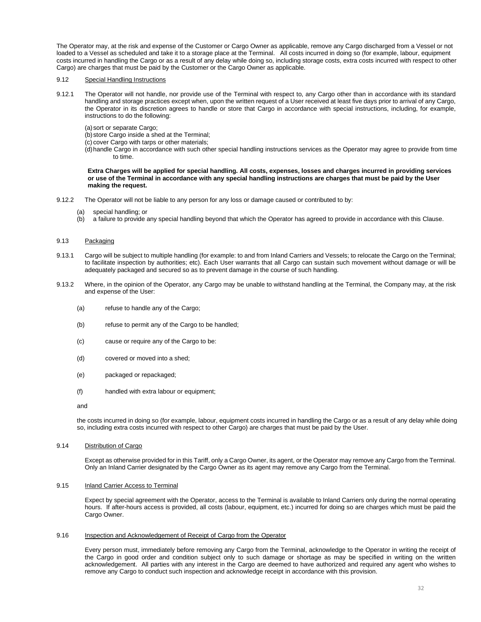The Operator may, at the risk and expense of the Customer or Cargo Owner as applicable, remove any Cargo discharged from a Vessel or not loaded to a Vessel as scheduled and take it to a storage place at the Terminal. All costs incurred in doing so (for example, labour, equipment costs incurred in handling the Cargo or as a result of any delay while doing so, including storage costs, extra costs incurred with respect to other Cargo) are charges that must be paid by the Customer or the Cargo Owner as applicable.

# 9.12 Special Handling Instructions

- 9.12.1 The Operator will not handle, nor provide use of the Terminal with respect to, any Cargo other than in accordance with its standard handling and storage practices except when, upon the written request of a User received at least five days prior to arrival of any Cargo, the Operator in its discretion agrees to handle or store that Cargo in accordance with special instructions, including, for example, instructions to do the following:
	- (a)sort or separate Cargo;
	- (b) store Cargo inside a shed at the Terminal;
	- (c) cover Cargo with tarps or other materials;
	- (d)handle Cargo in accordance with such other special handling instructions services as the Operator may agree to provide from time to time.

**Extra Charges will be applied for special handling. All costs, expenses, losses and charges incurred in providing services or use of the Terminal in accordance with any special handling instructions are charges that must be paid by the User making the request.**

- 9.12.2 The Operator will not be liable to any person for any loss or damage caused or contributed to by:
	- (a) special handling; or<br>(b) a failure to provide
	- a failure to provide any special handling beyond that which the Operator has agreed to provide in accordance with this Clause.

# 9.13 Packaging

- 9.13.1 Cargo will be subject to multiple handling (for example: to and from Inland Carriers and Vessels; to relocate the Cargo on the Terminal; to facilitate inspection by authorities; etc). Each User warrants that all Cargo can sustain such movement without damage or will be adequately packaged and secured so as to prevent damage in the course of such handling.
- 9.13.2 Where, in the opinion of the Operator, any Cargo may be unable to withstand handling at the Terminal, the Company may, at the risk and expense of the User:
	- (a) refuse to handle any of the Cargo;
	- (b) refuse to permit any of the Cargo to be handled;
	- (c) cause or require any of the Cargo to be:
	- (d) covered or moved into a shed;
	- (e) packaged or repackaged;
	- (f) handled with extra labour or equipment;
	- and

the costs incurred in doing so (for example, labour, equipment costs incurred in handling the Cargo or as a result of any delay while doing so, including extra costs incurred with respect to other Cargo) are charges that must be paid by the User.

#### 9.14 Distribution of Cargo

Except as otherwise provided for in this Tariff, only a Cargo Owner, its agent, or the Operator may remove any Cargo from the Terminal. Only an Inland Carrier designated by the Cargo Owner as its agent may remove any Cargo from the Terminal.

#### 9.15 Inland Carrier Access to Terminal

Expect by special agreement with the Operator, access to the Terminal is available to Inland Carriers only during the normal operating hours. If after-hours access is provided, all costs (labour, equipment, etc.) incurred for doing so are charges which must be paid the Cargo Owner.

### 9.16 Inspection and Acknowledgement of Receipt of Cargo from the Operator

Every person must, immediately before removing any Cargo from the Terminal, acknowledge to the Operator in writing the receipt of the Cargo in good order and condition subject only to such damage or shortage as may be specified in writing on the written acknowledgement. All parties with any interest in the Cargo are deemed to have authorized and required any agent who wishes to remove any Cargo to conduct such inspection and acknowledge receipt in accordance with this provision.